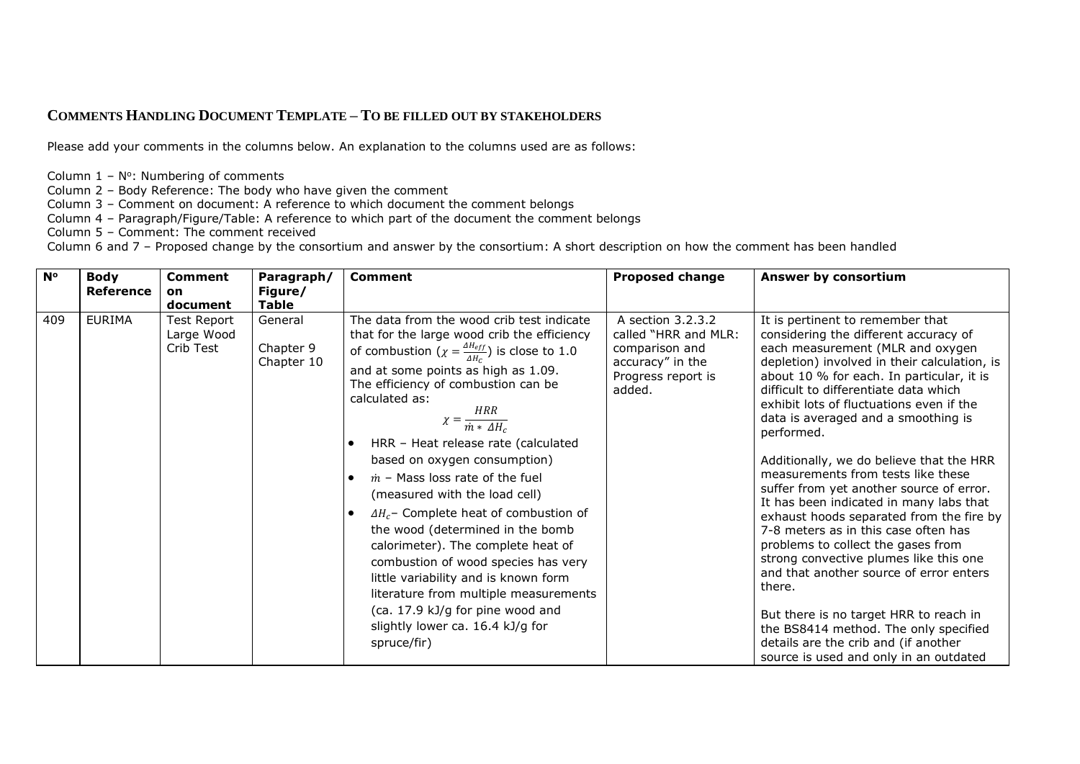## **COMMENTS HANDLING DOCUMENT TEMPLATE – TO BE FILLED OUT BY STAKEHOLDERS**

Please add your comments in the columns below. An explanation to the columns used are as follows:

- Column  $1 N^\circ$ : Numbering of comments
- Column 2 Body Reference: The body who have given the comment
- Column 3 Comment on document: A reference to which document the comment belongs
- Column 4 Paragraph/Figure/Table: A reference to which part of the document the comment belongs
- Column 5 Comment: The comment received

Column 6 and 7 – Proposed change by the consortium and answer by the consortium: A short description on how the comment has been handled

| $N^{\circ}$ | <b>Body</b><br>Reference | <b>Comment</b><br>on<br>document       | Paragraph/<br>Figure/<br><b>Table</b> | <b>Comment</b>                                                                                                                                                                                                                                                                                                                                                                                                                                                                                                                                                                                                                                                                                                                                                                                                   | <b>Proposed change</b>                                                                                          | Answer by consortium                                                                                                                                                                                                                                                                                                                                                                                                                                                                                                                                                                                                                                                                                                                                                                                                                                                                                                        |
|-------------|--------------------------|----------------------------------------|---------------------------------------|------------------------------------------------------------------------------------------------------------------------------------------------------------------------------------------------------------------------------------------------------------------------------------------------------------------------------------------------------------------------------------------------------------------------------------------------------------------------------------------------------------------------------------------------------------------------------------------------------------------------------------------------------------------------------------------------------------------------------------------------------------------------------------------------------------------|-----------------------------------------------------------------------------------------------------------------|-----------------------------------------------------------------------------------------------------------------------------------------------------------------------------------------------------------------------------------------------------------------------------------------------------------------------------------------------------------------------------------------------------------------------------------------------------------------------------------------------------------------------------------------------------------------------------------------------------------------------------------------------------------------------------------------------------------------------------------------------------------------------------------------------------------------------------------------------------------------------------------------------------------------------------|
| 409         | <b>EURIMA</b>            | Test Report<br>Large Wood<br>Crib Test | General<br>Chapter 9<br>Chapter 10    | The data from the wood crib test indicate<br>that for the large wood crib the efficiency<br>of combustion $(\chi = \frac{\Delta H_{eff}}{A H_{\odot}})$ is close to 1.0<br>and at some points as high as 1.09.<br>The efficiency of combustion can be<br>calculated as:<br>$\chi = \frac{HRR}{\dot{m} * \Delta H_c}$<br>HRR - Heat release rate (calculated<br>based on oxygen consumption)<br>$\dot{m}$ – Mass loss rate of the fuel<br>(measured with the load cell)<br>$\Delta H_c$ - Complete heat of combustion of<br>the wood (determined in the bomb<br>calorimeter). The complete heat of<br>combustion of wood species has very<br>little variability and is known form<br>literature from multiple measurements<br>(ca. 17.9 kJ/g for pine wood and<br>slightly lower ca. 16.4 kJ/g for<br>spruce/fir) | A section 3.2.3.2<br>called "HRR and MLR:<br>comparison and<br>accuracy" in the<br>Progress report is<br>added. | It is pertinent to remember that<br>considering the different accuracy of<br>each measurement (MLR and oxygen<br>depletion) involved in their calculation, is<br>about 10 % for each. In particular, it is<br>difficult to differentiate data which<br>exhibit lots of fluctuations even if the<br>data is averaged and a smoothing is<br>performed.<br>Additionally, we do believe that the HRR<br>measurements from tests like these<br>suffer from yet another source of error.<br>It has been indicated in many labs that<br>exhaust hoods separated from the fire by<br>7-8 meters as in this case often has<br>problems to collect the gases from<br>strong convective plumes like this one<br>and that another source of error enters<br>there.<br>But there is no target HRR to reach in<br>the BS8414 method. The only specified<br>details are the crib and (if another<br>source is used and only in an outdated |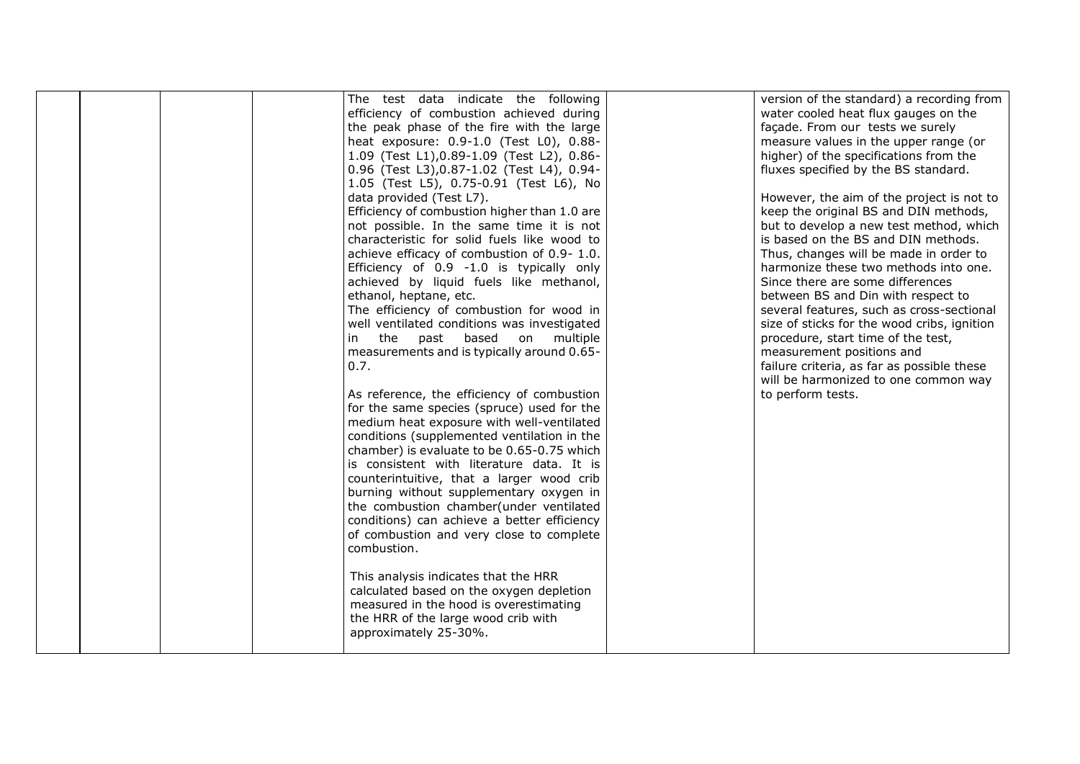|  | The test data indicate the following         | version of the standard) a recording from   |
|--|----------------------------------------------|---------------------------------------------|
|  | efficiency of combustion achieved during     | water cooled heat flux gauges on the        |
|  | the peak phase of the fire with the large    | façade. From our tests we surely            |
|  | heat exposure: 0.9-1.0 (Test L0), 0.88-      | measure values in the upper range (or       |
|  | 1.09 (Test L1), 0.89-1.09 (Test L2), 0.86-   | higher) of the specifications from the      |
|  | 0.96 (Test L3), 0.87-1.02 (Test L4), 0.94-   | fluxes specified by the BS standard.        |
|  | 1.05 (Test L5), 0.75-0.91 (Test L6), No      |                                             |
|  | data provided (Test L7).                     | However, the aim of the project is not to   |
|  | Efficiency of combustion higher than 1.0 are | keep the original BS and DIN methods,       |
|  | not possible. In the same time it is not     | but to develop a new test method, which     |
|  | characteristic for solid fuels like wood to  | is based on the BS and DIN methods.         |
|  | achieve efficacy of combustion of 0.9-1.0.   | Thus, changes will be made in order to      |
|  | Efficiency of 0.9 -1.0 is typically only     | harmonize these two methods into one.       |
|  | achieved by liquid fuels like methanol,      | Since there are some differences            |
|  | ethanol, heptane, etc.                       | between BS and Din with respect to          |
|  | The efficiency of combustion for wood in     | several features, such as cross-sectional   |
|  | well ventilated conditions was investigated  | size of sticks for the wood cribs, ignition |
|  | the past based on multiple<br>in             | procedure, start time of the test,          |
|  | measurements and is typically around 0.65-   | measurement positions and                   |
|  | 0.7.                                         | failure criteria, as far as possible these  |
|  |                                              | will be harmonized to one common way        |
|  | As reference, the efficiency of combustion   | to perform tests.                           |
|  | for the same species (spruce) used for the   |                                             |
|  | medium heat exposure with well-ventilated    |                                             |
|  | conditions (supplemented ventilation in the  |                                             |
|  | chamber) is evaluate to be 0.65-0.75 which   |                                             |
|  | is consistent with literature data. It is    |                                             |
|  | counterintuitive, that a larger wood crib    |                                             |
|  | burning without supplementary oxygen in      |                                             |
|  | the combustion chamber(under ventilated      |                                             |
|  | conditions) can achieve a better efficiency  |                                             |
|  | of combustion and very close to complete     |                                             |
|  | combustion.                                  |                                             |
|  |                                              |                                             |
|  | This analysis indicates that the HRR         |                                             |
|  | calculated based on the oxygen depletion     |                                             |
|  | measured in the hood is overestimating       |                                             |
|  | the HRR of the large wood crib with          |                                             |
|  | approximately 25-30%.                        |                                             |
|  |                                              |                                             |
|  |                                              |                                             |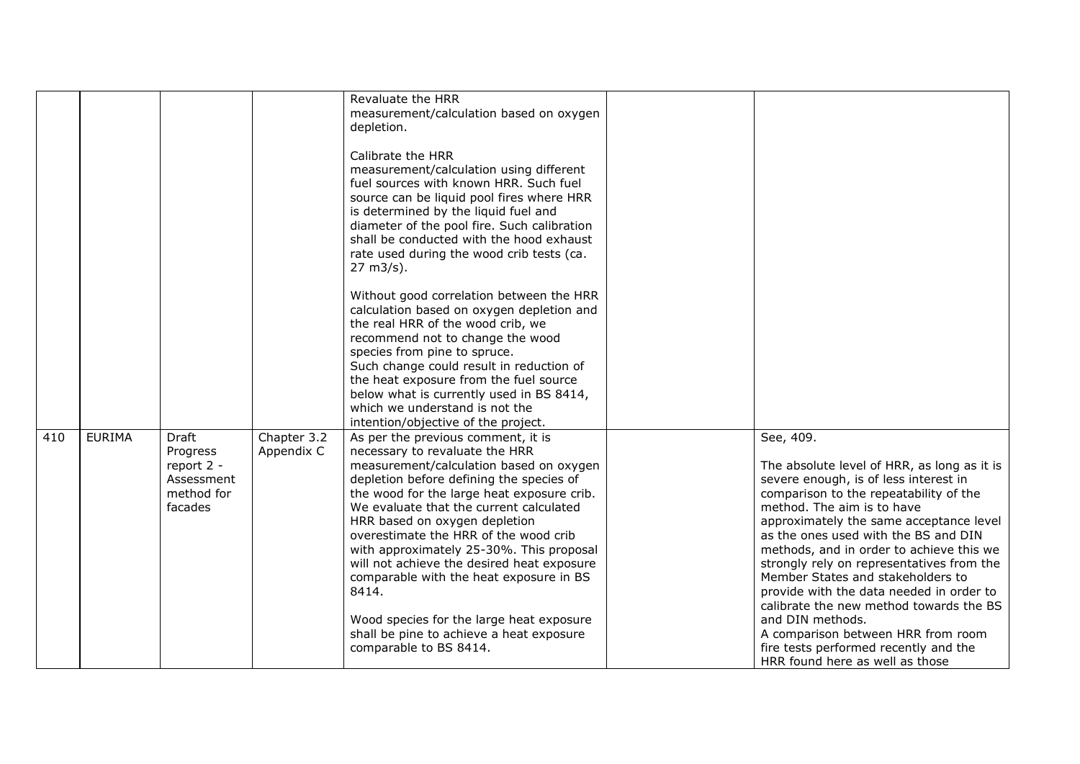|     |               |                                                                               |                           | Revaluate the HRR<br>measurement/calculation based on oxygen<br>depletion.<br>Calibrate the HRR<br>measurement/calculation using different<br>fuel sources with known HRR. Such fuel<br>source can be liquid pool fires where HRR<br>is determined by the liquid fuel and<br>diameter of the pool fire. Such calibration<br>shall be conducted with the hood exhaust<br>rate used during the wood crib tests (ca.<br>27 m3/s).<br>Without good correlation between the HRR                                               |                                                                                                                                                                                                                                                                                                                                                                                                                                                                                                       |
|-----|---------------|-------------------------------------------------------------------------------|---------------------------|--------------------------------------------------------------------------------------------------------------------------------------------------------------------------------------------------------------------------------------------------------------------------------------------------------------------------------------------------------------------------------------------------------------------------------------------------------------------------------------------------------------------------|-------------------------------------------------------------------------------------------------------------------------------------------------------------------------------------------------------------------------------------------------------------------------------------------------------------------------------------------------------------------------------------------------------------------------------------------------------------------------------------------------------|
|     |               |                                                                               |                           | calculation based on oxygen depletion and<br>the real HRR of the wood crib, we<br>recommend not to change the wood<br>species from pine to spruce.<br>Such change could result in reduction of<br>the heat exposure from the fuel source<br>below what is currently used in BS 8414,<br>which we understand is not the<br>intention/objective of the project.                                                                                                                                                            |                                                                                                                                                                                                                                                                                                                                                                                                                                                                                                       |
| 410 | <b>EURIMA</b> | <b>Draft</b><br>Progress<br>report 2 -<br>Assessment<br>method for<br>facades | Chapter 3.2<br>Appendix C | As per the previous comment, it is<br>necessary to revaluate the HRR<br>measurement/calculation based on oxygen<br>depletion before defining the species of<br>the wood for the large heat exposure crib.<br>We evaluate that the current calculated<br>HRR based on oxygen depletion<br>overestimate the HRR of the wood crib<br>with approximately 25-30%. This proposal<br>will not achieve the desired heat exposure<br>comparable with the heat exposure in BS<br>8414.<br>Wood species for the large heat exposure | See, 409.<br>The absolute level of HRR, as long as it is<br>severe enough, is of less interest in<br>comparison to the repeatability of the<br>method. The aim is to have<br>approximately the same acceptance level<br>as the ones used with the BS and DIN<br>methods, and in order to achieve this we<br>strongly rely on representatives from the<br>Member States and stakeholders to<br>provide with the data needed in order to<br>calibrate the new method towards the BS<br>and DIN methods. |
|     |               |                                                                               |                           | shall be pine to achieve a heat exposure<br>comparable to BS 8414.                                                                                                                                                                                                                                                                                                                                                                                                                                                       | A comparison between HRR from room<br>fire tests performed recently and the<br>HRR found here as well as those                                                                                                                                                                                                                                                                                                                                                                                        |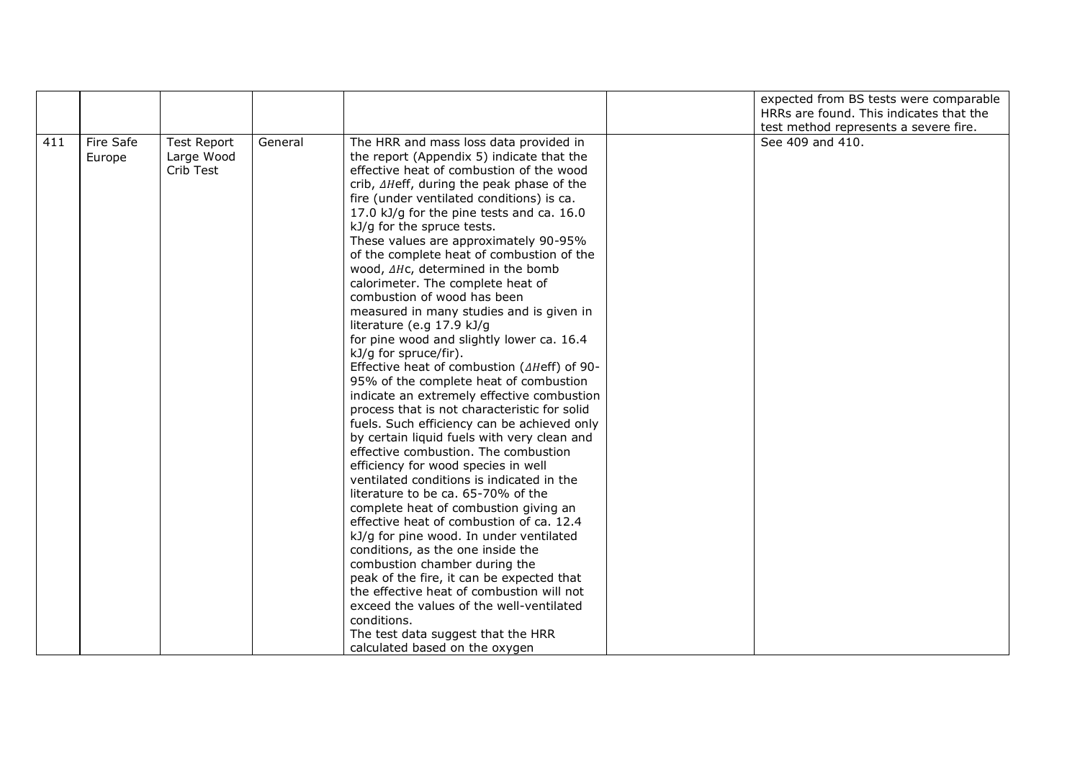|     |                     |                                               |         |                                                                                                                                                                                                                                                                                                                                                                                                                                                                                                                                                                                                                                                                                                                                                                                                                                                                                                                                                                                                                                                                                                                                                                                                                                                                                                                                                                                                                                                                                                                                                           | expected from BS tests were comparable<br>HRRs are found. This indicates that the<br>test method represents a severe fire. |
|-----|---------------------|-----------------------------------------------|---------|-----------------------------------------------------------------------------------------------------------------------------------------------------------------------------------------------------------------------------------------------------------------------------------------------------------------------------------------------------------------------------------------------------------------------------------------------------------------------------------------------------------------------------------------------------------------------------------------------------------------------------------------------------------------------------------------------------------------------------------------------------------------------------------------------------------------------------------------------------------------------------------------------------------------------------------------------------------------------------------------------------------------------------------------------------------------------------------------------------------------------------------------------------------------------------------------------------------------------------------------------------------------------------------------------------------------------------------------------------------------------------------------------------------------------------------------------------------------------------------------------------------------------------------------------------------|----------------------------------------------------------------------------------------------------------------------------|
| 411 | Fire Safe<br>Europe | <b>Test Report</b><br>Large Wood<br>Crib Test | General | The HRR and mass loss data provided in<br>the report (Appendix 5) indicate that the<br>effective heat of combustion of the wood<br>crib, AHeff, during the peak phase of the<br>fire (under ventilated conditions) is ca.<br>17.0 kJ/g for the pine tests and ca. 16.0<br>kJ/g for the spruce tests.<br>These values are approximately 90-95%<br>of the complete heat of combustion of the<br>wood, AHc, determined in the bomb<br>calorimeter. The complete heat of<br>combustion of wood has been<br>measured in many studies and is given in<br>literature (e.g 17.9 kJ/g<br>for pine wood and slightly lower ca. 16.4<br>kJ/g for spruce/fir).<br>Effective heat of combustion ( $\triangle H$ eff) of 90-<br>95% of the complete heat of combustion<br>indicate an extremely effective combustion<br>process that is not characteristic for solid<br>fuels. Such efficiency can be achieved only<br>by certain liquid fuels with very clean and<br>effective combustion. The combustion<br>efficiency for wood species in well<br>ventilated conditions is indicated in the<br>literature to be ca. 65-70% of the<br>complete heat of combustion giving an<br>effective heat of combustion of ca. 12.4<br>kJ/g for pine wood. In under ventilated<br>conditions, as the one inside the<br>combustion chamber during the<br>peak of the fire, it can be expected that<br>the effective heat of combustion will not<br>exceed the values of the well-ventilated<br>conditions.<br>The test data suggest that the HRR<br>calculated based on the oxygen | See 409 and 410.                                                                                                           |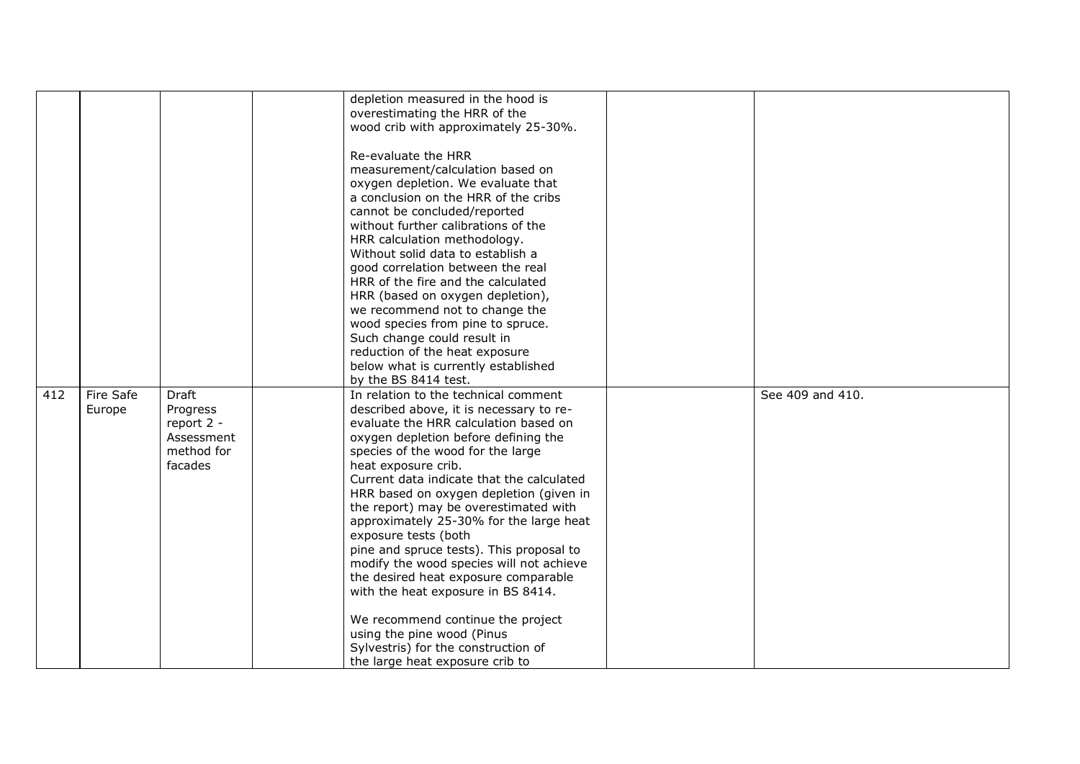|     |           |            | depletion measured in the hood is         |                  |
|-----|-----------|------------|-------------------------------------------|------------------|
|     |           |            | overestimating the HRR of the             |                  |
|     |           |            | wood crib with approximately 25-30%.      |                  |
|     |           |            |                                           |                  |
|     |           |            | Re-evaluate the HRR                       |                  |
|     |           |            | measurement/calculation based on          |                  |
|     |           |            | oxygen depletion. We evaluate that        |                  |
|     |           |            | a conclusion on the HRR of the cribs      |                  |
|     |           |            | cannot be concluded/reported              |                  |
|     |           |            | without further calibrations of the       |                  |
|     |           |            |                                           |                  |
|     |           |            | HRR calculation methodology.              |                  |
|     |           |            | Without solid data to establish a         |                  |
|     |           |            | good correlation between the real         |                  |
|     |           |            | HRR of the fire and the calculated        |                  |
|     |           |            | HRR (based on oxygen depletion),          |                  |
|     |           |            | we recommend not to change the            |                  |
|     |           |            | wood species from pine to spruce.         |                  |
|     |           |            | Such change could result in               |                  |
|     |           |            | reduction of the heat exposure            |                  |
|     |           |            | below what is currently established       |                  |
|     |           |            | by the BS 8414 test.                      |                  |
| 412 | Fire Safe | Draft      | In relation to the technical comment      | See 409 and 410. |
|     | Europe    | Progress   | described above, it is necessary to re-   |                  |
|     |           | report 2 - | evaluate the HRR calculation based on     |                  |
|     |           | Assessment | oxygen depletion before defining the      |                  |
|     |           | method for | species of the wood for the large         |                  |
|     |           | facades    | heat exposure crib.                       |                  |
|     |           |            | Current data indicate that the calculated |                  |
|     |           |            |                                           |                  |
|     |           |            | HRR based on oxygen depletion (given in   |                  |
|     |           |            | the report) may be overestimated with     |                  |
|     |           |            | approximately 25-30% for the large heat   |                  |
|     |           |            | exposure tests (both                      |                  |
|     |           |            | pine and spruce tests). This proposal to  |                  |
|     |           |            | modify the wood species will not achieve  |                  |
|     |           |            | the desired heat exposure comparable      |                  |
|     |           |            | with the heat exposure in BS 8414.        |                  |
|     |           |            |                                           |                  |
|     |           |            | We recommend continue the project         |                  |
|     |           |            | using the pine wood (Pinus                |                  |
|     |           |            | Sylvestris) for the construction of       |                  |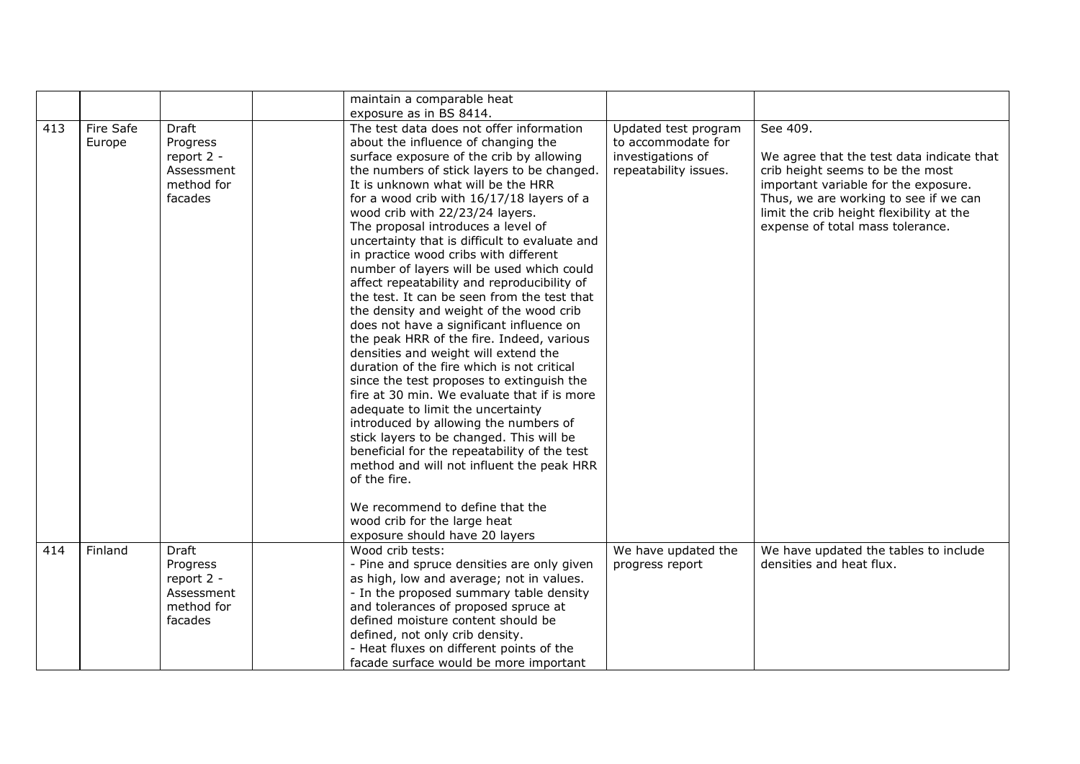|     |                     |                                                                        | maintain a comparable heat<br>exposure as in BS 8414.                                                                                                                                                                                                                                                                                                                                                                                                                                                                                                                                                                                                                                                                                                                                                                                                                                                                                                                                                                                                                                                                                                                                                                                        |                                                                                          |                                                                                                                                                                                                                                                            |
|-----|---------------------|------------------------------------------------------------------------|----------------------------------------------------------------------------------------------------------------------------------------------------------------------------------------------------------------------------------------------------------------------------------------------------------------------------------------------------------------------------------------------------------------------------------------------------------------------------------------------------------------------------------------------------------------------------------------------------------------------------------------------------------------------------------------------------------------------------------------------------------------------------------------------------------------------------------------------------------------------------------------------------------------------------------------------------------------------------------------------------------------------------------------------------------------------------------------------------------------------------------------------------------------------------------------------------------------------------------------------|------------------------------------------------------------------------------------------|------------------------------------------------------------------------------------------------------------------------------------------------------------------------------------------------------------------------------------------------------------|
| 413 | Fire Safe<br>Europe | Draft<br>Progress<br>report 2 -<br>Assessment<br>method for<br>facades | The test data does not offer information<br>about the influence of changing the<br>surface exposure of the crib by allowing<br>the numbers of stick layers to be changed.<br>It is unknown what will be the HRR<br>for a wood crib with 16/17/18 layers of a<br>wood crib with 22/23/24 layers.<br>The proposal introduces a level of<br>uncertainty that is difficult to evaluate and<br>in practice wood cribs with different<br>number of layers will be used which could<br>affect repeatability and reproducibility of<br>the test. It can be seen from the test that<br>the density and weight of the wood crib<br>does not have a significant influence on<br>the peak HRR of the fire. Indeed, various<br>densities and weight will extend the<br>duration of the fire which is not critical<br>since the test proposes to extinguish the<br>fire at 30 min. We evaluate that if is more<br>adequate to limit the uncertainty<br>introduced by allowing the numbers of<br>stick layers to be changed. This will be<br>beneficial for the repeatability of the test<br>method and will not influent the peak HRR<br>of the fire.<br>We recommend to define that the<br>wood crib for the large heat<br>exposure should have 20 layers | Updated test program<br>to accommodate for<br>investigations of<br>repeatability issues. | See 409.<br>We agree that the test data indicate that<br>crib height seems to be the most<br>important variable for the exposure.<br>Thus, we are working to see if we can<br>limit the crib height flexibility at the<br>expense of total mass tolerance. |
| 414 | Finland             | Draft<br>Progress<br>report 2 -<br>Assessment<br>method for<br>facades | Wood crib tests:<br>- Pine and spruce densities are only given<br>as high, low and average; not in values.<br>- In the proposed summary table density<br>and tolerances of proposed spruce at<br>defined moisture content should be<br>defined, not only crib density.<br>- Heat fluxes on different points of the<br>facade surface would be more important                                                                                                                                                                                                                                                                                                                                                                                                                                                                                                                                                                                                                                                                                                                                                                                                                                                                                 | We have updated the<br>progress report                                                   | We have updated the tables to include<br>densities and heat flux.                                                                                                                                                                                          |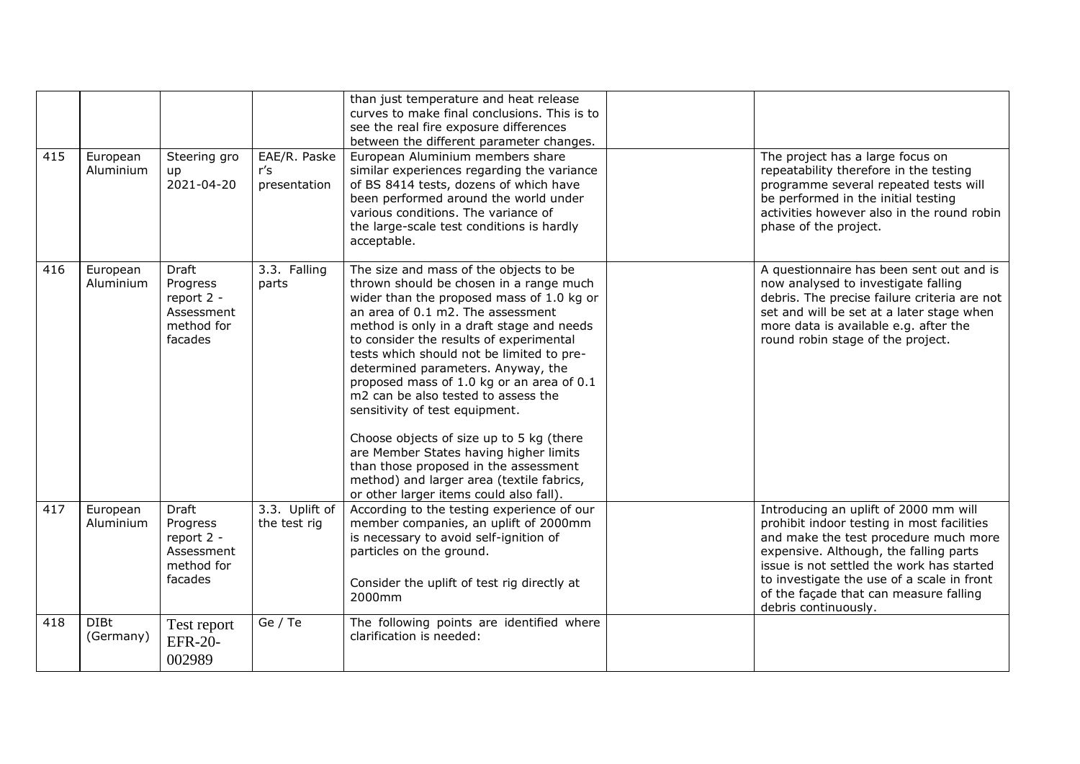|     |                          |                                                                               |                                     | than just temperature and heat release<br>curves to make final conclusions. This is to<br>see the real fire exposure differences<br>between the different parameter changes.                                                                                                                                                                                                                                                                                                                                                                                                                                                                                                                |                                                                                                                                                                                                                                                                                                                                     |
|-----|--------------------------|-------------------------------------------------------------------------------|-------------------------------------|---------------------------------------------------------------------------------------------------------------------------------------------------------------------------------------------------------------------------------------------------------------------------------------------------------------------------------------------------------------------------------------------------------------------------------------------------------------------------------------------------------------------------------------------------------------------------------------------------------------------------------------------------------------------------------------------|-------------------------------------------------------------------------------------------------------------------------------------------------------------------------------------------------------------------------------------------------------------------------------------------------------------------------------------|
| 415 | European<br>Aluminium    | Steering gro<br>up<br>2021-04-20                                              | EAE/R. Paske<br>r's<br>presentation | European Aluminium members share<br>similar experiences regarding the variance<br>of BS 8414 tests, dozens of which have<br>been performed around the world under<br>various conditions. The variance of<br>the large-scale test conditions is hardly<br>acceptable.                                                                                                                                                                                                                                                                                                                                                                                                                        | The project has a large focus on<br>repeatability therefore in the testing<br>programme several repeated tests will<br>be performed in the initial testing<br>activities however also in the round robin<br>phase of the project.                                                                                                   |
| 416 | European<br>Aluminium    | <b>Draft</b><br>Progress<br>report 2 -<br>Assessment<br>method for<br>facades | 3.3. Falling<br>parts               | The size and mass of the objects to be<br>thrown should be chosen in a range much<br>wider than the proposed mass of 1.0 kg or<br>an area of 0.1 m2. The assessment<br>method is only in a draft stage and needs<br>to consider the results of experimental<br>tests which should not be limited to pre-<br>determined parameters. Anyway, the<br>proposed mass of 1.0 kg or an area of 0.1<br>m2 can be also tested to assess the<br>sensitivity of test equipment.<br>Choose objects of size up to 5 kg (there<br>are Member States having higher limits<br>than those proposed in the assessment<br>method) and larger area (textile fabrics,<br>or other larger items could also fall). | A questionnaire has been sent out and is<br>now analysed to investigate falling<br>debris. The precise failure criteria are not<br>set and will be set at a later stage when<br>more data is available e.g. after the<br>round robin stage of the project.                                                                          |
| 417 | European<br>Aluminium    | <b>Draft</b><br>Progress<br>report 2 -<br>Assessment<br>method for<br>facades | 3.3. Uplift of<br>the test rig      | According to the testing experience of our<br>member companies, an uplift of 2000mm<br>is necessary to avoid self-ignition of<br>particles on the ground.<br>Consider the uplift of test rig directly at<br>2000mm                                                                                                                                                                                                                                                                                                                                                                                                                                                                          | Introducing an uplift of 2000 mm will<br>prohibit indoor testing in most facilities<br>and make the test procedure much more<br>expensive. Although, the falling parts<br>issue is not settled the work has started<br>to investigate the use of a scale in front<br>of the façade that can measure falling<br>debris continuously. |
| 418 | <b>DIBt</b><br>(Germany) | Test report<br><b>EFR-20-</b><br>002989                                       | Ge / Te                             | The following points are identified where<br>clarification is needed:                                                                                                                                                                                                                                                                                                                                                                                                                                                                                                                                                                                                                       |                                                                                                                                                                                                                                                                                                                                     |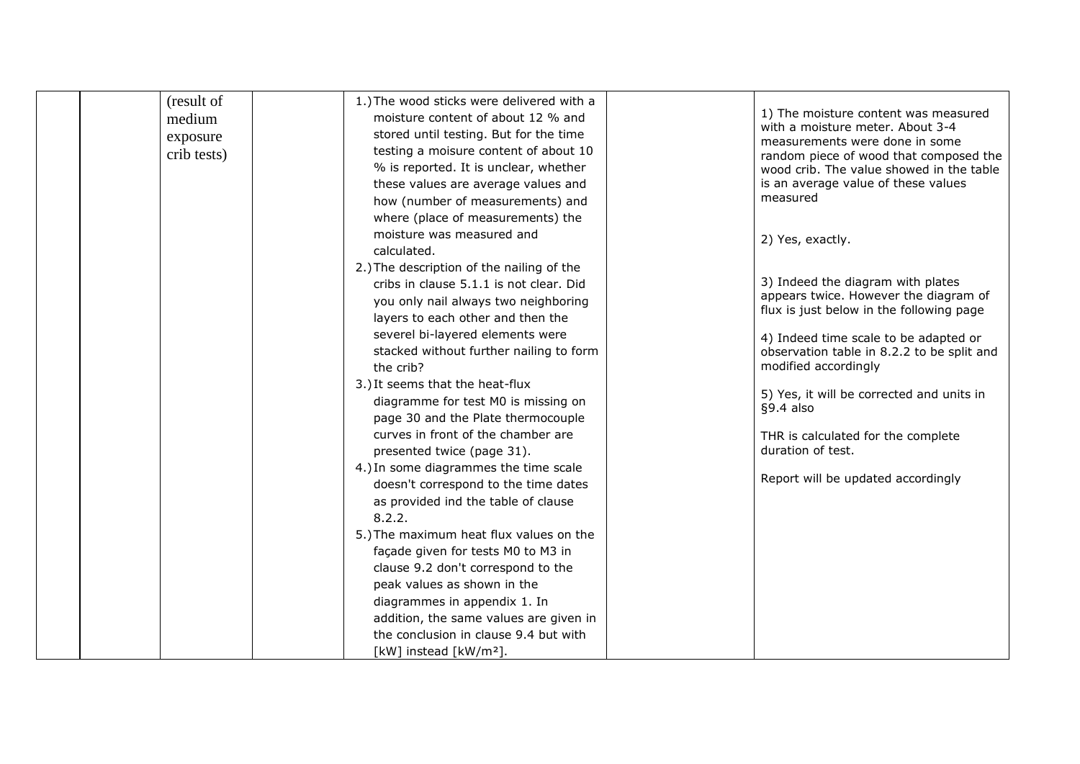| (result of  | 1.) The wood sticks were delivered with a |                                                                                     |
|-------------|-------------------------------------------|-------------------------------------------------------------------------------------|
| medium      | moisture content of about 12 % and        | 1) The moisture content was measured                                                |
| exposure    | stored until testing. But for the time    | with a moisture meter. About 3-4                                                    |
| crib tests) | testing a moisure content of about 10     | measurements were done in some                                                      |
|             | % is reported. It is unclear, whether     | random piece of wood that composed the<br>wood crib. The value showed in the table  |
|             | these values are average values and       | is an average value of these values                                                 |
|             | how (number of measurements) and          | measured                                                                            |
|             | where (place of measurements) the         |                                                                                     |
|             | moisture was measured and                 |                                                                                     |
|             | calculated.                               | 2) Yes, exactly.                                                                    |
|             | 2.) The description of the nailing of the |                                                                                     |
|             | cribs in clause 5.1.1 is not clear. Did   | 3) Indeed the diagram with plates                                                   |
|             | you only nail always two neighboring      | appears twice. However the diagram of                                               |
|             | layers to each other and then the         | flux is just below in the following page                                            |
|             | severel bi-layered elements were          |                                                                                     |
|             | stacked without further nailing to form   | 4) Indeed time scale to be adapted or<br>observation table in 8.2.2 to be split and |
|             | the crib?                                 | modified accordingly                                                                |
|             | 3.) It seems that the heat-flux           |                                                                                     |
|             | diagramme for test M0 is missing on       | 5) Yes, it will be corrected and units in                                           |
|             | page 30 and the Plate thermocouple        | $§9.4$ also                                                                         |
|             | curves in front of the chamber are        | THR is calculated for the complete                                                  |
|             | presented twice (page 31).                | duration of test.                                                                   |
|             | 4.) In some diagrammes the time scale     |                                                                                     |
|             | doesn't correspond to the time dates      | Report will be updated accordingly                                                  |
|             | as provided ind the table of clause       |                                                                                     |
|             | 8.2.2.                                    |                                                                                     |
|             | 5.) The maximum heat flux values on the   |                                                                                     |
|             | façade given for tests M0 to M3 in        |                                                                                     |
|             | clause 9.2 don't correspond to the        |                                                                                     |
|             | peak values as shown in the               |                                                                                     |
|             | diagrammes in appendix 1. In              |                                                                                     |
|             | addition, the same values are given in    |                                                                                     |
|             | the conclusion in clause 9.4 but with     |                                                                                     |
|             | [kW] instead [kW/m <sup>2</sup> ].        |                                                                                     |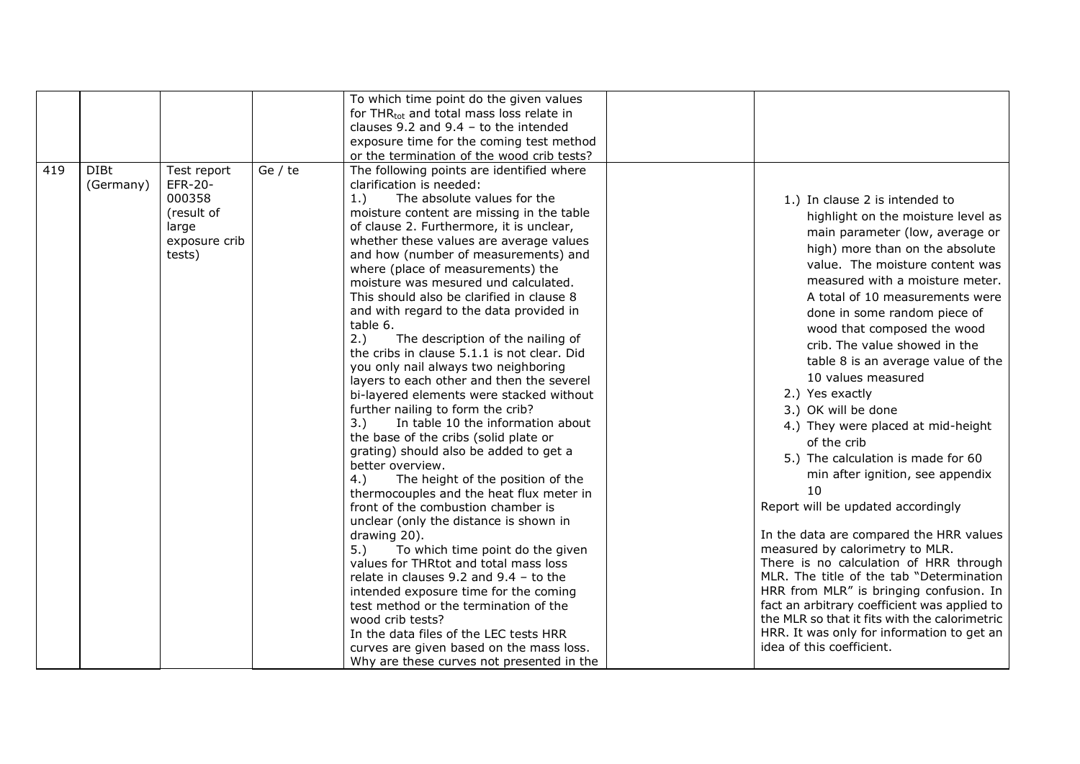|     |                          |                                                                                    |         | To which time point do the given values<br>for THR <sub>tot</sub> and total mass loss relate in<br>clauses 9.2 and 9.4 - to the intended<br>exposure time for the coming test method<br>or the termination of the wood crib tests?                                                                                                                                                                                                                                                                                                                                                                                                                                                                                                                                                                                                                                                                                                                                                                                                                                                                                                                                                                                                                                                                                                                                                                                                                              |                                                                                                                                                                                                                                                                                                                                                                                                                                                                                                                                                                                                                                                                                                                                                                                                                                                                                                                                                                                                                                 |
|-----|--------------------------|------------------------------------------------------------------------------------|---------|-----------------------------------------------------------------------------------------------------------------------------------------------------------------------------------------------------------------------------------------------------------------------------------------------------------------------------------------------------------------------------------------------------------------------------------------------------------------------------------------------------------------------------------------------------------------------------------------------------------------------------------------------------------------------------------------------------------------------------------------------------------------------------------------------------------------------------------------------------------------------------------------------------------------------------------------------------------------------------------------------------------------------------------------------------------------------------------------------------------------------------------------------------------------------------------------------------------------------------------------------------------------------------------------------------------------------------------------------------------------------------------------------------------------------------------------------------------------|---------------------------------------------------------------------------------------------------------------------------------------------------------------------------------------------------------------------------------------------------------------------------------------------------------------------------------------------------------------------------------------------------------------------------------------------------------------------------------------------------------------------------------------------------------------------------------------------------------------------------------------------------------------------------------------------------------------------------------------------------------------------------------------------------------------------------------------------------------------------------------------------------------------------------------------------------------------------------------------------------------------------------------|
| 419 | <b>DIBt</b><br>(Germany) | Test report<br>EFR-20-<br>000358<br>(result of<br>large<br>exposure crib<br>tests) | Ge / te | The following points are identified where<br>clarification is needed:<br>The absolute values for the<br>1.)<br>moisture content are missing in the table<br>of clause 2. Furthermore, it is unclear,<br>whether these values are average values<br>and how (number of measurements) and<br>where (place of measurements) the<br>moisture was mesured und calculated.<br>This should also be clarified in clause 8<br>and with regard to the data provided in<br>table 6.<br>2.)<br>The description of the nailing of<br>the cribs in clause 5.1.1 is not clear. Did<br>you only nail always two neighboring<br>layers to each other and then the severel<br>bi-layered elements were stacked without<br>further nailing to form the crib?<br>3.)<br>In table 10 the information about<br>the base of the cribs (solid plate or<br>grating) should also be added to get a<br>better overview.<br>The height of the position of the<br>4.)<br>thermocouples and the heat flux meter in<br>front of the combustion chamber is<br>unclear (only the distance is shown in<br>drawing 20).<br>To which time point do the given<br>5.)<br>values for THRtot and total mass loss<br>relate in clauses $9.2$ and $9.4$ - to the<br>intended exposure time for the coming<br>test method or the termination of the<br>wood crib tests?<br>In the data files of the LEC tests HRR<br>curves are given based on the mass loss.<br>Why are these curves not presented in the | 1.) In clause 2 is intended to<br>highlight on the moisture level as<br>main parameter (low, average or<br>high) more than on the absolute<br>value. The moisture content was<br>measured with a moisture meter.<br>A total of 10 measurements were<br>done in some random piece of<br>wood that composed the wood<br>crib. The value showed in the<br>table 8 is an average value of the<br>10 values measured<br>2.) Yes exactly<br>3.) OK will be done<br>4.) They were placed at mid-height<br>of the crib<br>5.) The calculation is made for 60<br>min after ignition, see appendix<br>10<br>Report will be updated accordingly<br>In the data are compared the HRR values<br>measured by calorimetry to MLR.<br>There is no calculation of HRR through<br>MLR. The title of the tab "Determination<br>HRR from MLR" is bringing confusion. In<br>fact an arbitrary coefficient was applied to<br>the MLR so that it fits with the calorimetric<br>HRR. It was only for information to get an<br>idea of this coefficient. |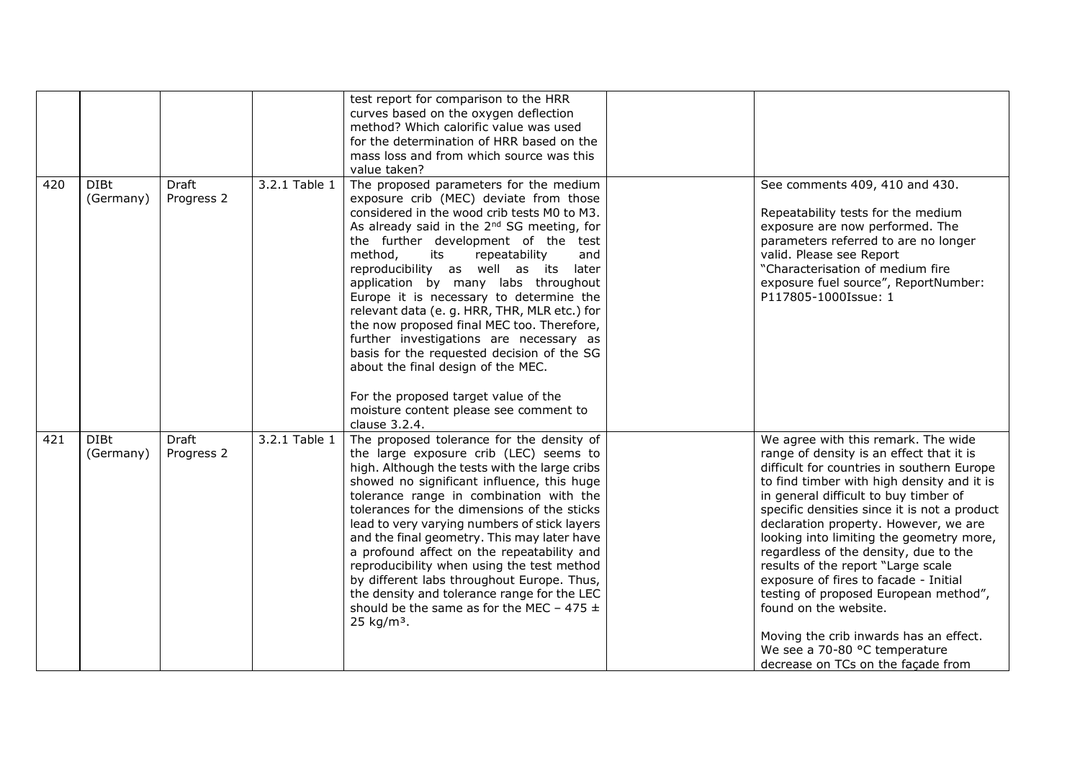|     |                          |                            |               | test report for comparison to the HRR<br>curves based on the oxygen deflection<br>method? Which calorific value was used<br>for the determination of HRR based on the<br>mass loss and from which source was this<br>value taken?                                                                                                                                                                                                                                                                                                                                                                                                                                                                                                       |                                                                                                                                                                                                                                                                                                                                                                                                                                                                                                                                                                                                                                                                      |
|-----|--------------------------|----------------------------|---------------|-----------------------------------------------------------------------------------------------------------------------------------------------------------------------------------------------------------------------------------------------------------------------------------------------------------------------------------------------------------------------------------------------------------------------------------------------------------------------------------------------------------------------------------------------------------------------------------------------------------------------------------------------------------------------------------------------------------------------------------------|----------------------------------------------------------------------------------------------------------------------------------------------------------------------------------------------------------------------------------------------------------------------------------------------------------------------------------------------------------------------------------------------------------------------------------------------------------------------------------------------------------------------------------------------------------------------------------------------------------------------------------------------------------------------|
| 420 | <b>DIBt</b><br>(Germany) | <b>Draft</b><br>Progress 2 | 3.2.1 Table 1 | The proposed parameters for the medium<br>exposure crib (MEC) deviate from those<br>considered in the wood crib tests M0 to M3.<br>As already said in the 2 <sup>nd</sup> SG meeting, for<br>the further development of the test<br>method,<br>repeatability<br>its<br>and<br>reproducibility as well as its<br>later<br>application by many labs throughout<br>Europe it is necessary to determine the<br>relevant data (e. g. HRR, THR, MLR etc.) for<br>the now proposed final MEC too. Therefore,<br>further investigations are necessary as<br>basis for the requested decision of the SG<br>about the final design of the MEC.<br>For the proposed target value of the<br>moisture content please see comment to<br>clause 3.2.4. | See comments 409, 410 and 430.<br>Repeatability tests for the medium<br>exposure are now performed. The<br>parameters referred to are no longer<br>valid. Please see Report<br>"Characterisation of medium fire<br>exposure fuel source", ReportNumber:<br>P117805-1000Issue: 1                                                                                                                                                                                                                                                                                                                                                                                      |
| 421 | <b>DIBt</b><br>(Germany) | Draft<br>Progress 2        | 3.2.1 Table 1 | The proposed tolerance for the density of<br>the large exposure crib (LEC) seems to<br>high. Although the tests with the large cribs<br>showed no significant influence, this huge<br>tolerance range in combination with the<br>tolerances for the dimensions of the sticks<br>lead to very varying numbers of stick layers<br>and the final geometry. This may later have<br>a profound affect on the repeatability and<br>reproducibility when using the test method<br>by different labs throughout Europe. Thus,<br>the density and tolerance range for the LEC<br>should be the same as for the MEC - 475 $\pm$<br>25 kg/m <sup>3</sup> .                                                                                         | We agree with this remark. The wide<br>range of density is an effect that it is<br>difficult for countries in southern Europe<br>to find timber with high density and it is<br>in general difficult to buy timber of<br>specific densities since it is not a product<br>declaration property. However, we are<br>looking into limiting the geometry more,<br>regardless of the density, due to the<br>results of the report "Large scale<br>exposure of fires to facade - Initial<br>testing of proposed European method",<br>found on the website.<br>Moving the crib inwards has an effect.<br>We see a 70-80 °C temperature<br>decrease on TCs on the facade from |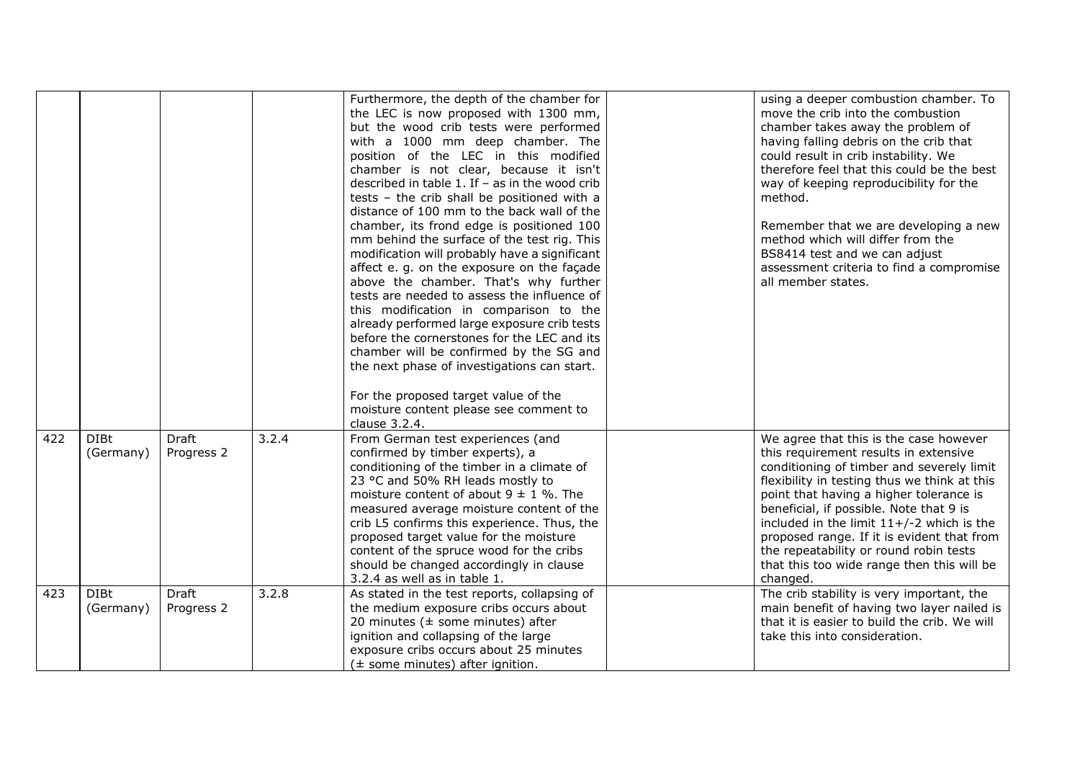|     |                          |                            |       | Furthermore, the depth of the chamber for<br>the LEC is now proposed with 1300 mm,<br>but the wood crib tests were performed<br>with a 1000 mm deep chamber. The<br>position of the LEC in this modified<br>chamber is not clear, because it isn't<br>described in table 1. If $-$ as in the wood crib<br>tests - the crib shall be positioned with a<br>distance of 100 mm to the back wall of the<br>chamber, its frond edge is positioned 100<br>mm behind the surface of the test rig. This<br>modification will probably have a significant<br>affect e. g. on the exposure on the façade<br>above the chamber. That's why further<br>tests are needed to assess the influence of<br>this modification in comparison to the<br>already performed large exposure crib tests<br>before the cornerstones for the LEC and its<br>chamber will be confirmed by the SG and<br>the next phase of investigations can start.<br>For the proposed target value of the<br>moisture content please see comment to<br>clause 3.2.4. | using a deeper combustion chamber. To<br>move the crib into the combustion<br>chamber takes away the problem of<br>having falling debris on the crib that<br>could result in crib instability. We<br>therefore feel that this could be the best<br>way of keeping reproducibility for the<br>method.<br>Remember that we are developing a new<br>method which will differ from the<br>BS8414 test and we can adjust<br>assessment criteria to find a compromise<br>all member states. |
|-----|--------------------------|----------------------------|-------|-----------------------------------------------------------------------------------------------------------------------------------------------------------------------------------------------------------------------------------------------------------------------------------------------------------------------------------------------------------------------------------------------------------------------------------------------------------------------------------------------------------------------------------------------------------------------------------------------------------------------------------------------------------------------------------------------------------------------------------------------------------------------------------------------------------------------------------------------------------------------------------------------------------------------------------------------------------------------------------------------------------------------------|---------------------------------------------------------------------------------------------------------------------------------------------------------------------------------------------------------------------------------------------------------------------------------------------------------------------------------------------------------------------------------------------------------------------------------------------------------------------------------------|
| 422 | <b>DIBt</b><br>(Germany) | <b>Draft</b><br>Progress 2 | 3.2.4 | From German test experiences (and<br>confirmed by timber experts), a<br>conditioning of the timber in a climate of<br>23 °C and 50% RH leads mostly to<br>moisture content of about $9 \pm 1$ %. The<br>measured average moisture content of the<br>crib L5 confirms this experience. Thus, the<br>proposed target value for the moisture<br>content of the spruce wood for the cribs<br>should be changed accordingly in clause<br>3.2.4 as well as in table 1.                                                                                                                                                                                                                                                                                                                                                                                                                                                                                                                                                            | We agree that this is the case however<br>this requirement results in extensive<br>conditioning of timber and severely limit<br>flexibility in testing thus we think at this<br>point that having a higher tolerance is<br>beneficial, if possible. Note that 9 is<br>included in the limit $11+/-2$ which is the<br>proposed range. If it is evident that from<br>the repeatability or round robin tests<br>that this too wide range then this will be<br>changed.                   |
| 423 | <b>DIBt</b><br>(Germany) | <b>Draft</b><br>Progress 2 | 3.2.8 | As stated in the test reports, collapsing of<br>the medium exposure cribs occurs about<br>20 minutes ( $\pm$ some minutes) after<br>ignition and collapsing of the large<br>exposure cribs occurs about 25 minutes<br>$(\pm$ some minutes) after ignition.                                                                                                                                                                                                                                                                                                                                                                                                                                                                                                                                                                                                                                                                                                                                                                  | The crib stability is very important, the<br>main benefit of having two layer nailed is<br>that it is easier to build the crib. We will<br>take this into consideration.                                                                                                                                                                                                                                                                                                              |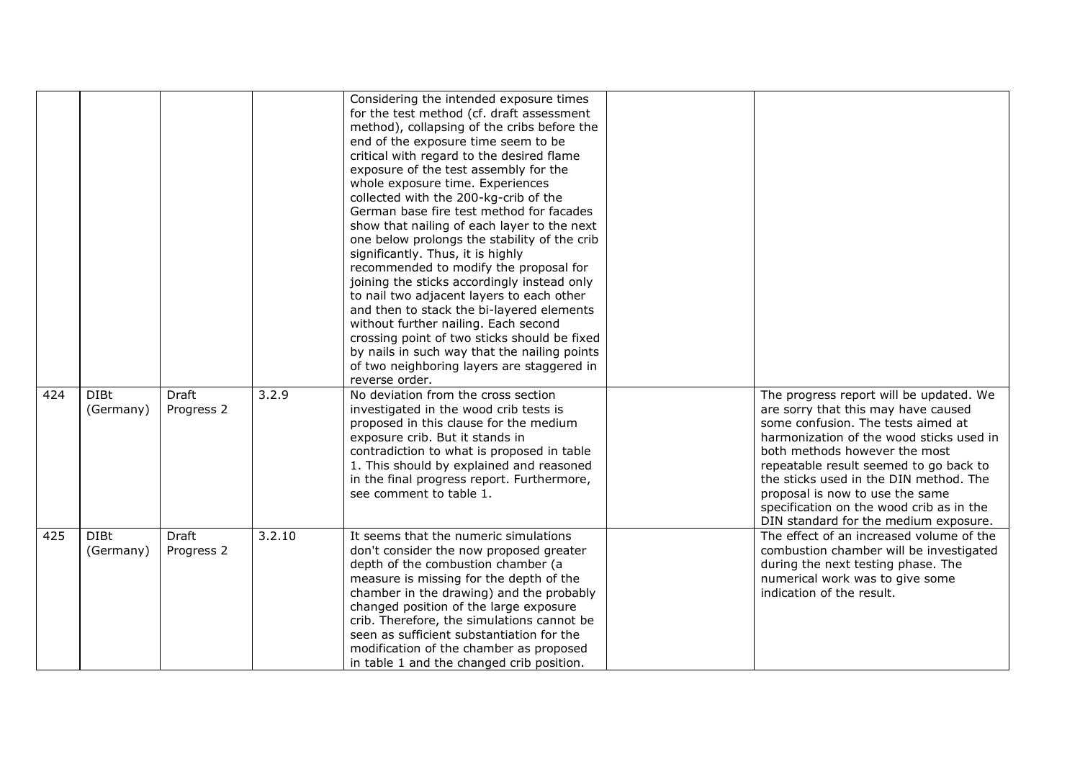|     |                          |                            |        | Considering the intended exposure times<br>for the test method (cf. draft assessment<br>method), collapsing of the cribs before the<br>end of the exposure time seem to be<br>critical with regard to the desired flame<br>exposure of the test assembly for the<br>whole exposure time. Experiences<br>collected with the 200-kg-crib of the<br>German base fire test method for facades<br>show that nailing of each layer to the next<br>one below prolongs the stability of the crib<br>significantly. Thus, it is highly<br>recommended to modify the proposal for<br>joining the sticks accordingly instead only<br>to nail two adjacent layers to each other<br>and then to stack the bi-layered elements<br>without further nailing. Each second<br>crossing point of two sticks should be fixed<br>by nails in such way that the nailing points<br>of two neighboring layers are staggered in<br>reverse order. |                                                                                                                                                                                                                                                                                                                                                                                                               |
|-----|--------------------------|----------------------------|--------|--------------------------------------------------------------------------------------------------------------------------------------------------------------------------------------------------------------------------------------------------------------------------------------------------------------------------------------------------------------------------------------------------------------------------------------------------------------------------------------------------------------------------------------------------------------------------------------------------------------------------------------------------------------------------------------------------------------------------------------------------------------------------------------------------------------------------------------------------------------------------------------------------------------------------|---------------------------------------------------------------------------------------------------------------------------------------------------------------------------------------------------------------------------------------------------------------------------------------------------------------------------------------------------------------------------------------------------------------|
| 424 | <b>DIBt</b><br>(Germany) | Draft<br>Progress 2        | 3.2.9  | No deviation from the cross section<br>investigated in the wood crib tests is<br>proposed in this clause for the medium<br>exposure crib. But it stands in<br>contradiction to what is proposed in table<br>1. This should by explained and reasoned<br>in the final progress report. Furthermore,<br>see comment to table 1.                                                                                                                                                                                                                                                                                                                                                                                                                                                                                                                                                                                            | The progress report will be updated. We<br>are sorry that this may have caused<br>some confusion. The tests aimed at<br>harmonization of the wood sticks used in<br>both methods however the most<br>repeatable result seemed to go back to<br>the sticks used in the DIN method. The<br>proposal is now to use the same<br>specification on the wood crib as in the<br>DIN standard for the medium exposure. |
| 425 | <b>DIBt</b><br>(Germany) | <b>Draft</b><br>Progress 2 | 3.2.10 | It seems that the numeric simulations<br>don't consider the now proposed greater<br>depth of the combustion chamber (a<br>measure is missing for the depth of the<br>chamber in the drawing) and the probably<br>changed position of the large exposure<br>crib. Therefore, the simulations cannot be<br>seen as sufficient substantiation for the<br>modification of the chamber as proposed<br>in table 1 and the changed crib position.                                                                                                                                                                                                                                                                                                                                                                                                                                                                               | The effect of an increased volume of the<br>combustion chamber will be investigated<br>during the next testing phase. The<br>numerical work was to give some<br>indication of the result.                                                                                                                                                                                                                     |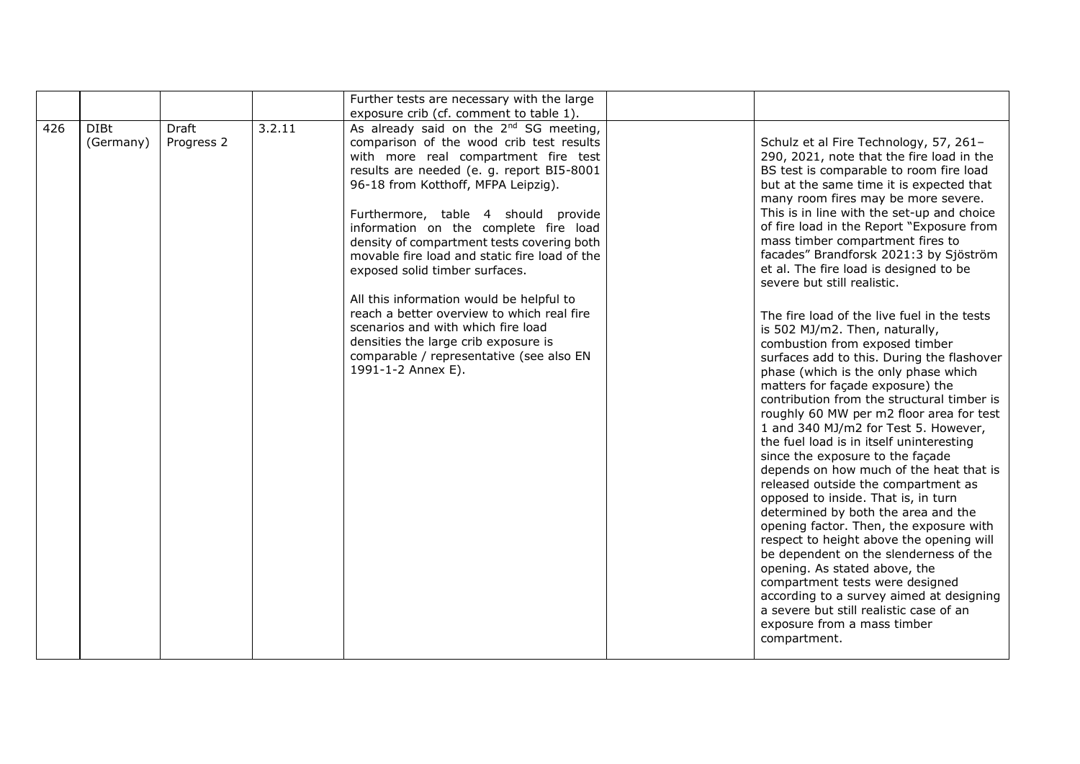|     |                          |                     |        | Further tests are necessary with the large                                                                                                                                                                                                                                                                                                                                                                                                                                                                                                                                                                                                                                            |                                                                                                                                                                                                                                                                                                                                                                                                                                                                                                                                                                                                                                                                                                                                                                                                                                                                                                                                                                                                                                                                                                                                                                                                                                                                                                                                                                                                                                               |
|-----|--------------------------|---------------------|--------|---------------------------------------------------------------------------------------------------------------------------------------------------------------------------------------------------------------------------------------------------------------------------------------------------------------------------------------------------------------------------------------------------------------------------------------------------------------------------------------------------------------------------------------------------------------------------------------------------------------------------------------------------------------------------------------|-----------------------------------------------------------------------------------------------------------------------------------------------------------------------------------------------------------------------------------------------------------------------------------------------------------------------------------------------------------------------------------------------------------------------------------------------------------------------------------------------------------------------------------------------------------------------------------------------------------------------------------------------------------------------------------------------------------------------------------------------------------------------------------------------------------------------------------------------------------------------------------------------------------------------------------------------------------------------------------------------------------------------------------------------------------------------------------------------------------------------------------------------------------------------------------------------------------------------------------------------------------------------------------------------------------------------------------------------------------------------------------------------------------------------------------------------|
|     |                          |                     |        | exposure crib (cf. comment to table 1).                                                                                                                                                                                                                                                                                                                                                                                                                                                                                                                                                                                                                                               |                                                                                                                                                                                                                                                                                                                                                                                                                                                                                                                                                                                                                                                                                                                                                                                                                                                                                                                                                                                                                                                                                                                                                                                                                                                                                                                                                                                                                                               |
| 426 | <b>DIBt</b><br>(Germany) | Draft<br>Progress 2 | 3.2.11 | As already said on the 2 <sup>nd</sup> SG meeting,<br>comparison of the wood crib test results<br>with more real compartment fire test<br>results are needed (e. g. report BI5-8001<br>96-18 from Kotthoff, MFPA Leipzig).<br>Furthermore, table 4 should provide<br>information on the complete fire load<br>density of compartment tests covering both<br>movable fire load and static fire load of the<br>exposed solid timber surfaces.<br>All this information would be helpful to<br>reach a better overview to which real fire<br>scenarios and with which fire load<br>densities the large crib exposure is<br>comparable / representative (see also EN<br>1991-1-2 Annex E). | Schulz et al Fire Technology, 57, 261-<br>290, 2021, note that the fire load in the<br>BS test is comparable to room fire load<br>but at the same time it is expected that<br>many room fires may be more severe.<br>This is in line with the set-up and choice<br>of fire load in the Report "Exposure from<br>mass timber compartment fires to<br>facades" Brandforsk 2021:3 by Sjöström<br>et al. The fire load is designed to be<br>severe but still realistic.<br>The fire load of the live fuel in the tests<br>is 502 MJ/m2. Then, naturally,<br>combustion from exposed timber<br>surfaces add to this. During the flashover<br>phase (which is the only phase which<br>matters for façade exposure) the<br>contribution from the structural timber is<br>roughly 60 MW per m2 floor area for test<br>1 and 340 MJ/m2 for Test 5. However,<br>the fuel load is in itself uninteresting<br>since the exposure to the façade<br>depends on how much of the heat that is<br>released outside the compartment as<br>opposed to inside. That is, in turn<br>determined by both the area and the<br>opening factor. Then, the exposure with<br>respect to height above the opening will<br>be dependent on the slenderness of the<br>opening. As stated above, the<br>compartment tests were designed<br>according to a survey aimed at designing<br>a severe but still realistic case of an<br>exposure from a mass timber<br>compartment. |
|     |                          |                     |        |                                                                                                                                                                                                                                                                                                                                                                                                                                                                                                                                                                                                                                                                                       |                                                                                                                                                                                                                                                                                                                                                                                                                                                                                                                                                                                                                                                                                                                                                                                                                                                                                                                                                                                                                                                                                                                                                                                                                                                                                                                                                                                                                                               |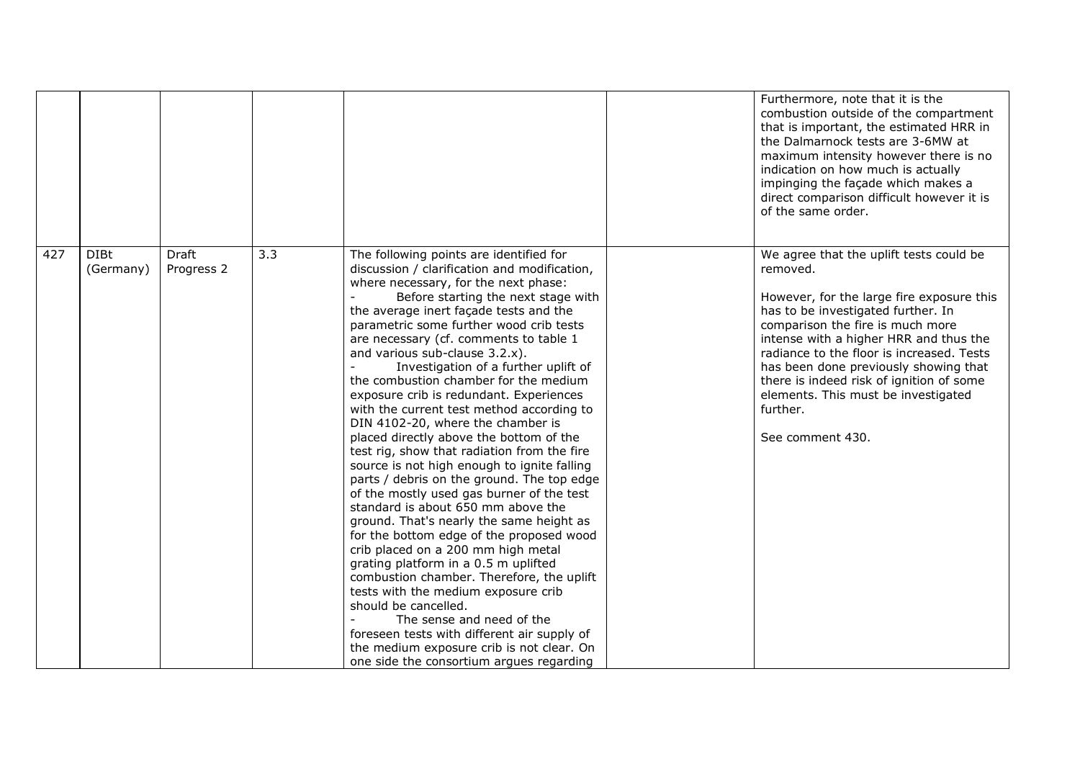|     |                          |                            |     |                                                                                                                                                                                                                                                                                                                                                                                                                                                                                                                                                                                                                                                                                                                                                                                                                                                                                                                                                                                                                                                                                                                                                                                                                                                                                        | Furthermore, note that it is the<br>combustion outside of the compartment<br>that is important, the estimated HRR in<br>the Dalmarnock tests are 3-6MW at<br>maximum intensity however there is no<br>indication on how much is actually<br>impinging the façade which makes a<br>direct comparison difficult however it is<br>of the same order.                                                                             |
|-----|--------------------------|----------------------------|-----|----------------------------------------------------------------------------------------------------------------------------------------------------------------------------------------------------------------------------------------------------------------------------------------------------------------------------------------------------------------------------------------------------------------------------------------------------------------------------------------------------------------------------------------------------------------------------------------------------------------------------------------------------------------------------------------------------------------------------------------------------------------------------------------------------------------------------------------------------------------------------------------------------------------------------------------------------------------------------------------------------------------------------------------------------------------------------------------------------------------------------------------------------------------------------------------------------------------------------------------------------------------------------------------|-------------------------------------------------------------------------------------------------------------------------------------------------------------------------------------------------------------------------------------------------------------------------------------------------------------------------------------------------------------------------------------------------------------------------------|
| 427 | <b>DIBt</b><br>(Germany) | <b>Draft</b><br>Progress 2 | 3.3 | The following points are identified for<br>discussion / clarification and modification,<br>where necessary, for the next phase:<br>Before starting the next stage with<br>the average inert façade tests and the<br>parametric some further wood crib tests<br>are necessary (cf. comments to table 1<br>and various sub-clause 3.2.x).<br>Investigation of a further uplift of<br>the combustion chamber for the medium<br>exposure crib is redundant. Experiences<br>with the current test method according to<br>DIN 4102-20, where the chamber is<br>placed directly above the bottom of the<br>test rig, show that radiation from the fire<br>source is not high enough to ignite falling<br>parts / debris on the ground. The top edge<br>of the mostly used gas burner of the test<br>standard is about 650 mm above the<br>ground. That's nearly the same height as<br>for the bottom edge of the proposed wood<br>crib placed on a 200 mm high metal<br>grating platform in a 0.5 m uplifted<br>combustion chamber. Therefore, the uplift<br>tests with the medium exposure crib<br>should be cancelled.<br>The sense and need of the<br>foreseen tests with different air supply of<br>the medium exposure crib is not clear. On<br>one side the consortium argues regarding | We agree that the uplift tests could be<br>removed.<br>However, for the large fire exposure this<br>has to be investigated further. In<br>comparison the fire is much more<br>intense with a higher HRR and thus the<br>radiance to the floor is increased. Tests<br>has been done previously showing that<br>there is indeed risk of ignition of some<br>elements. This must be investigated<br>further.<br>See comment 430. |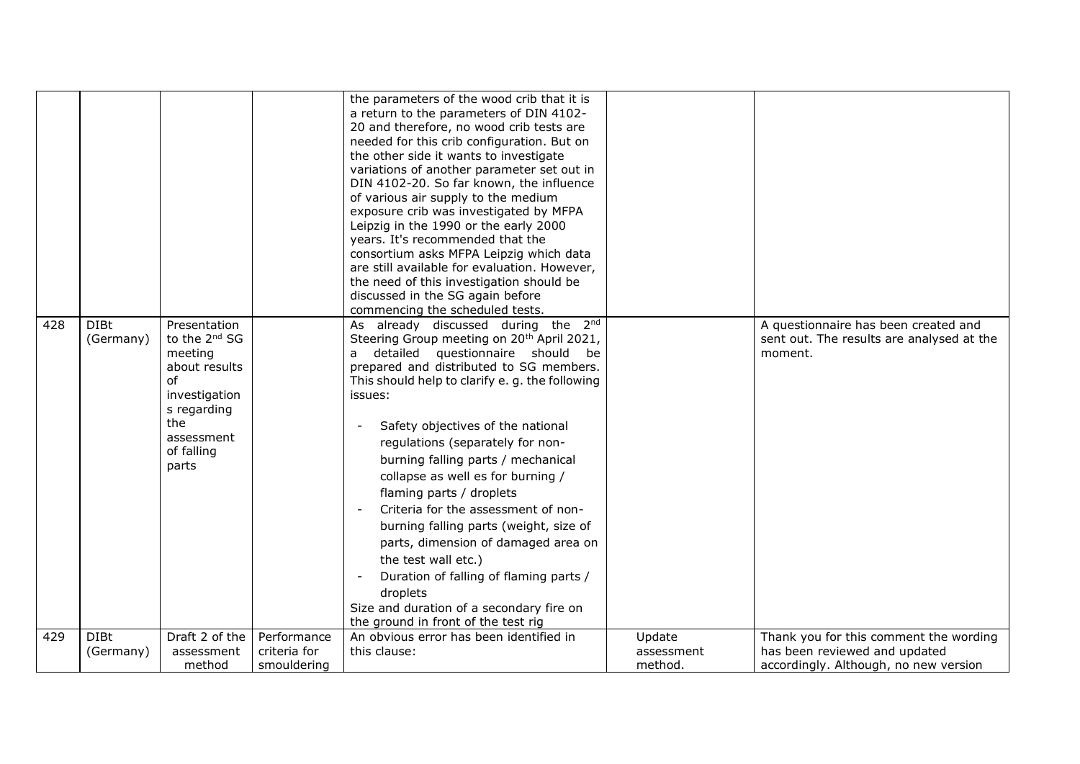|     |                          |                                                                                                                                                                    |                             | the parameters of the wood crib that it is<br>a return to the parameters of DIN 4102-<br>20 and therefore, no wood crib tests are<br>needed for this crib configuration. But on<br>the other side it wants to investigate<br>variations of another parameter set out in<br>DIN 4102-20. So far known, the influence<br>of various air supply to the medium<br>exposure crib was investigated by MFPA<br>Leipzig in the 1990 or the early 2000<br>years. It's recommended that the<br>consortium asks MFPA Leipzig which data<br>are still available for evaluation. However,<br>the need of this investigation should be<br>discussed in the SG again before<br>commencing the scheduled tests.                         |                       |                                                                                              |
|-----|--------------------------|--------------------------------------------------------------------------------------------------------------------------------------------------------------------|-----------------------------|-------------------------------------------------------------------------------------------------------------------------------------------------------------------------------------------------------------------------------------------------------------------------------------------------------------------------------------------------------------------------------------------------------------------------------------------------------------------------------------------------------------------------------------------------------------------------------------------------------------------------------------------------------------------------------------------------------------------------|-----------------------|----------------------------------------------------------------------------------------------|
| 428 | <b>DIBt</b><br>(Germany) | Presentation<br>to the 2 <sup>nd</sup> SG<br>meeting<br>about results<br><sub>of</sub><br>investigation<br>s regarding<br>the<br>assessment<br>of falling<br>parts |                             | As already discussed during the 2nd<br>Steering Group meeting on 20 <sup>th</sup> April 2021,<br>detailed questionnaire should be<br>a<br>prepared and distributed to SG members.<br>This should help to clarify e. g. the following<br>issues:<br>Safety objectives of the national<br>regulations (separately for non-<br>burning falling parts / mechanical<br>collapse as well es for burning /<br>flaming parts / droplets<br>Criteria for the assessment of non-<br>burning falling parts (weight, size of<br>parts, dimension of damaged area on<br>the test wall etc.)<br>Duration of falling of flaming parts /<br>droplets<br>Size and duration of a secondary fire on<br>the ground in front of the test rig |                       | A questionnaire has been created and<br>sent out. The results are analysed at the<br>moment. |
| 429 | <b>DIBt</b>              | Draft 2 of the                                                                                                                                                     | Performance                 | An obvious error has been identified in                                                                                                                                                                                                                                                                                                                                                                                                                                                                                                                                                                                                                                                                                 | Update                | Thank you for this comment the wording                                                       |
|     | (Germany)                | assessment<br>method                                                                                                                                               | criteria for<br>smouldering | this clause:                                                                                                                                                                                                                                                                                                                                                                                                                                                                                                                                                                                                                                                                                                            | assessment<br>method. | has been reviewed and updated<br>accordingly. Although, no new version                       |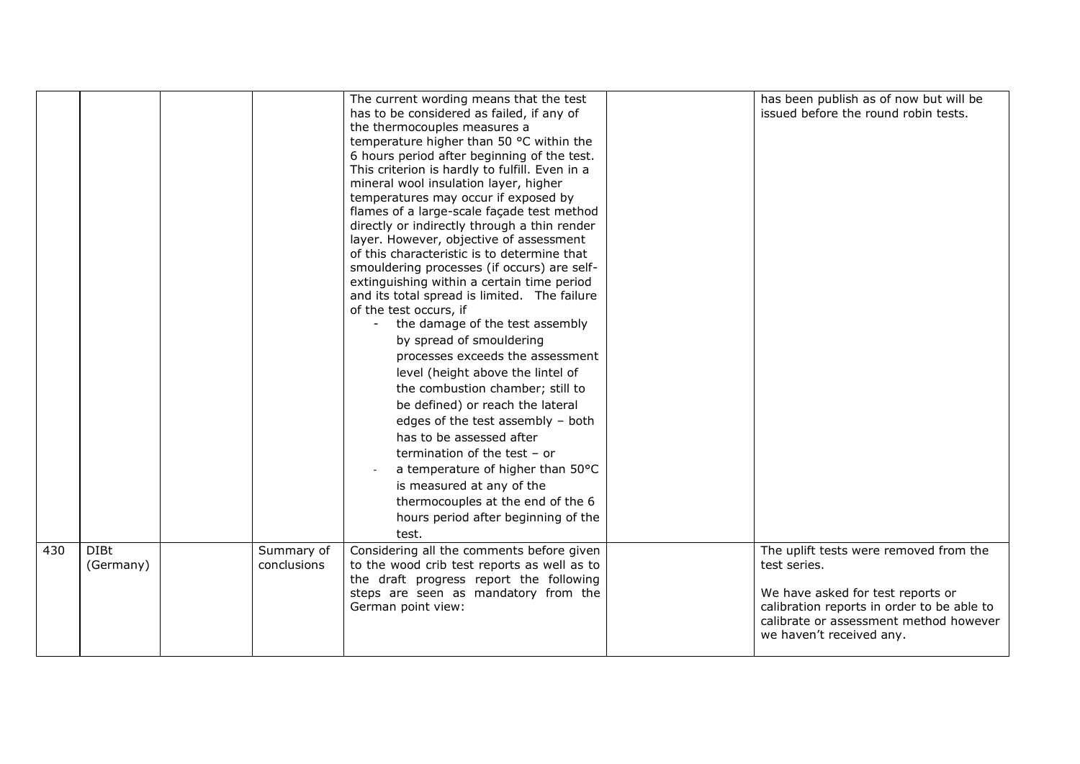|     |                          |                           | The current wording means that the test<br>has to be considered as failed, if any of<br>the thermocouples measures a<br>temperature higher than 50 °C within the<br>6 hours period after beginning of the test.<br>This criterion is hardly to fulfill. Even in a<br>mineral wool insulation layer, higher<br>temperatures may occur if exposed by<br>flames of a large-scale façade test method<br>directly or indirectly through a thin render<br>layer. However, objective of assessment<br>of this characteristic is to determine that<br>smouldering processes (if occurs) are self-<br>extinguishing within a certain time period<br>and its total spread is limited. The failure<br>of the test occurs, if<br>the damage of the test assembly<br>by spread of smouldering<br>processes exceeds the assessment<br>level (height above the lintel of<br>the combustion chamber; still to<br>be defined) or reach the lateral<br>edges of the test assembly - both<br>has to be assessed after<br>termination of the test $-$ or<br>a temperature of higher than 50°C<br>is measured at any of the<br>thermocouples at the end of the 6<br>hours period after beginning of the<br>test. | has been publish as of now but will be<br>issued before the round robin tests.                                                                                                                                  |
|-----|--------------------------|---------------------------|---------------------------------------------------------------------------------------------------------------------------------------------------------------------------------------------------------------------------------------------------------------------------------------------------------------------------------------------------------------------------------------------------------------------------------------------------------------------------------------------------------------------------------------------------------------------------------------------------------------------------------------------------------------------------------------------------------------------------------------------------------------------------------------------------------------------------------------------------------------------------------------------------------------------------------------------------------------------------------------------------------------------------------------------------------------------------------------------------------------------------------------------------------------------------------------------|-----------------------------------------------------------------------------------------------------------------------------------------------------------------------------------------------------------------|
| 430 | <b>DIBt</b><br>(Germany) | Summary of<br>conclusions | Considering all the comments before given<br>to the wood crib test reports as well as to<br>the draft progress report the following<br>steps are seen as mandatory from the<br>German point view:                                                                                                                                                                                                                                                                                                                                                                                                                                                                                                                                                                                                                                                                                                                                                                                                                                                                                                                                                                                           | The uplift tests were removed from the<br>test series.<br>We have asked for test reports or<br>calibration reports in order to be able to<br>calibrate or assessment method however<br>we haven't received any. |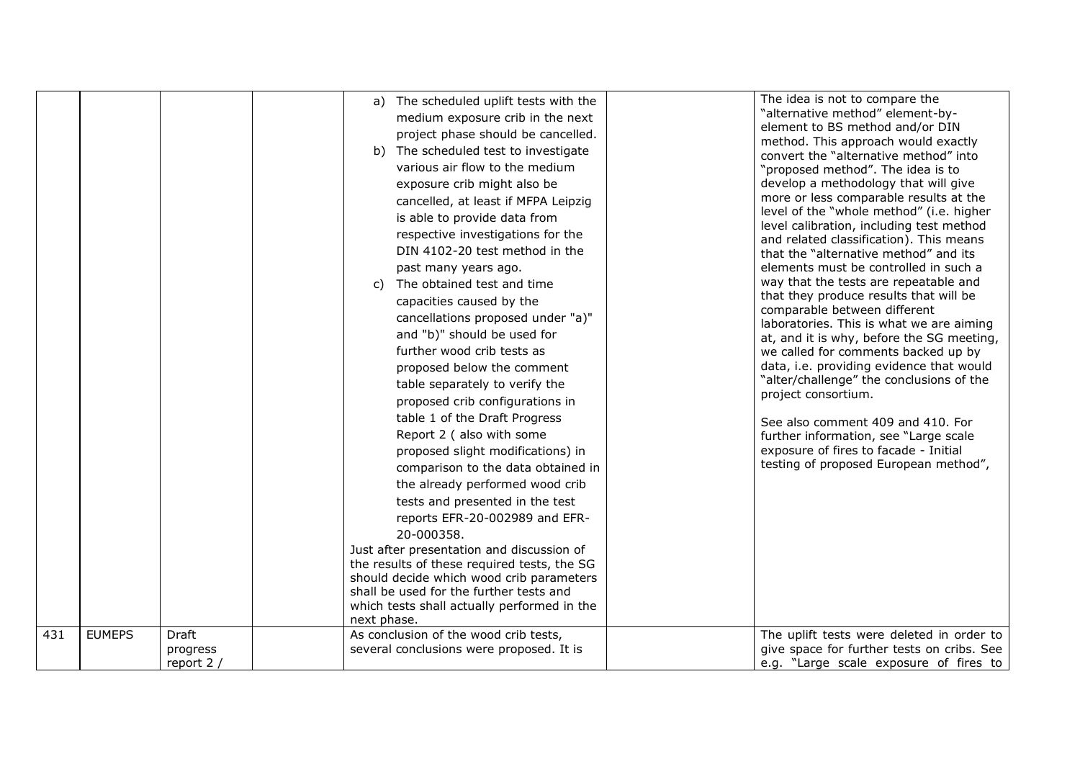| 431 | <b>EUMEPS</b> | <b>Draft</b>           | a)<br>next phase. | The scheduled uplift tests with the<br>medium exposure crib in the next<br>project phase should be cancelled.<br>b) The scheduled test to investigate<br>various air flow to the medium<br>exposure crib might also be<br>cancelled, at least if MFPA Leipzig<br>is able to provide data from<br>respective investigations for the<br>DIN 4102-20 test method in the<br>past many years ago.<br>c) The obtained test and time<br>capacities caused by the<br>cancellations proposed under "a)"<br>and "b)" should be used for<br>further wood crib tests as<br>proposed below the comment<br>table separately to verify the<br>proposed crib configurations in<br>table 1 of the Draft Progress<br>Report 2 ( also with some<br>proposed slight modifications) in<br>comparison to the data obtained in<br>the already performed wood crib<br>tests and presented in the test<br>reports EFR-20-002989 and EFR-<br>20-000358.<br>Just after presentation and discussion of<br>the results of these required tests, the SG<br>should decide which wood crib parameters<br>shall be used for the further tests and<br>which tests shall actually performed in the<br>As conclusion of the wood crib tests, | The idea is not to compare the<br>"alternative method" element-by-<br>element to BS method and/or DIN<br>method. This approach would exactly<br>convert the "alternative method" into<br>"proposed method". The idea is to<br>develop a methodology that will give<br>more or less comparable results at the<br>level of the "whole method" (i.e. higher<br>level calibration, including test method<br>and related classification). This means<br>that the "alternative method" and its<br>elements must be controlled in such a<br>way that the tests are repeatable and<br>that they produce results that will be<br>comparable between different<br>laboratories. This is what we are aiming<br>at, and it is why, before the SG meeting,<br>we called for comments backed up by<br>data, i.e. providing evidence that would<br>"alter/challenge" the conclusions of the<br>project consortium.<br>See also comment 409 and 410. For<br>further information, see "Large scale<br>exposure of fires to facade - Initial<br>testing of proposed European method",<br>The uplift tests were deleted in order to |
|-----|---------------|------------------------|-------------------|----------------------------------------------------------------------------------------------------------------------------------------------------------------------------------------------------------------------------------------------------------------------------------------------------------------------------------------------------------------------------------------------------------------------------------------------------------------------------------------------------------------------------------------------------------------------------------------------------------------------------------------------------------------------------------------------------------------------------------------------------------------------------------------------------------------------------------------------------------------------------------------------------------------------------------------------------------------------------------------------------------------------------------------------------------------------------------------------------------------------------------------------------------------------------------------------------------|------------------------------------------------------------------------------------------------------------------------------------------------------------------------------------------------------------------------------------------------------------------------------------------------------------------------------------------------------------------------------------------------------------------------------------------------------------------------------------------------------------------------------------------------------------------------------------------------------------------------------------------------------------------------------------------------------------------------------------------------------------------------------------------------------------------------------------------------------------------------------------------------------------------------------------------------------------------------------------------------------------------------------------------------------------------------------------------------------------------|
|     |               | progress<br>report 2 / |                   | several conclusions were proposed. It is                                                                                                                                                                                                                                                                                                                                                                                                                                                                                                                                                                                                                                                                                                                                                                                                                                                                                                                                                                                                                                                                                                                                                                 | give space for further tests on cribs. See<br>e.g. "Large scale exposure of fires to                                                                                                                                                                                                                                                                                                                                                                                                                                                                                                                                                                                                                                                                                                                                                                                                                                                                                                                                                                                                                             |
|     |               |                        |                   |                                                                                                                                                                                                                                                                                                                                                                                                                                                                                                                                                                                                                                                                                                                                                                                                                                                                                                                                                                                                                                                                                                                                                                                                          |                                                                                                                                                                                                                                                                                                                                                                                                                                                                                                                                                                                                                                                                                                                                                                                                                                                                                                                                                                                                                                                                                                                  |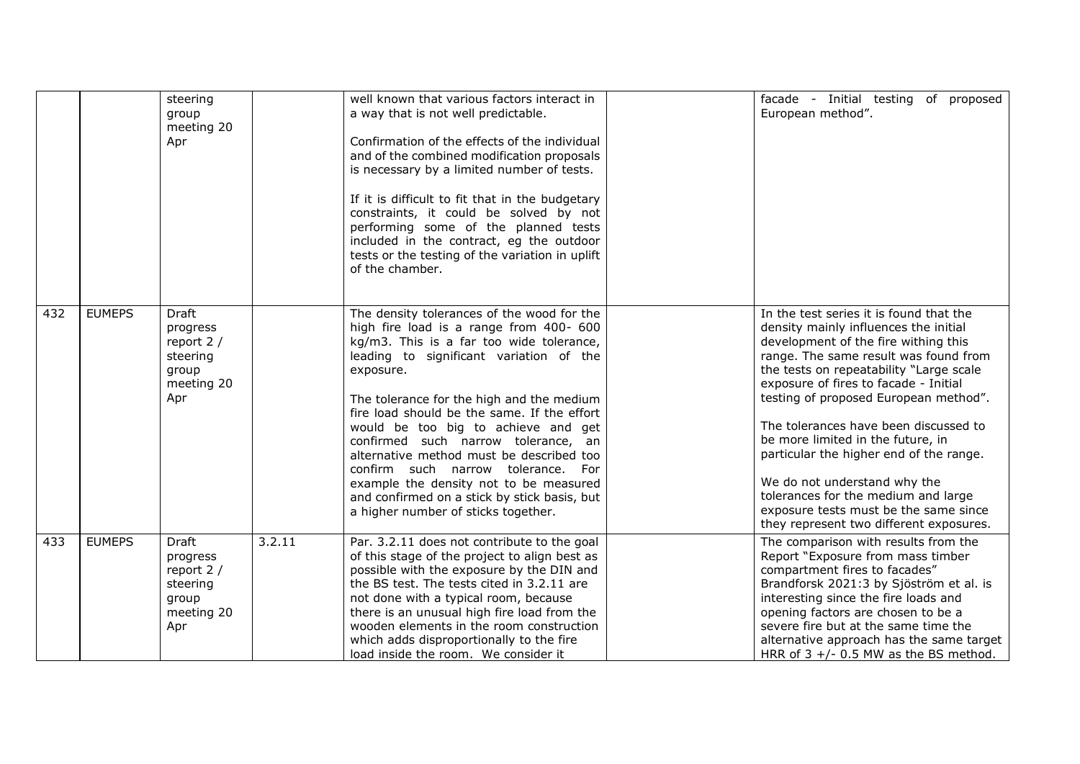|     |               | steering<br>group<br>meeting 20<br>Apr                                           |        | well known that various factors interact in<br>a way that is not well predictable.<br>Confirmation of the effects of the individual<br>and of the combined modification proposals<br>is necessary by a limited number of tests.<br>If it is difficult to fit that in the budgetary<br>constraints, it could be solved by not<br>performing some of the planned tests<br>included in the contract, eg the outdoor<br>tests or the testing of the variation in uplift<br>of the chamber.                                                                                                 | facade - Initial testing of proposed<br>European method".                                                                                                                                                                                                                                                                                                                                                                                                                                                                                                                          |
|-----|---------------|----------------------------------------------------------------------------------|--------|----------------------------------------------------------------------------------------------------------------------------------------------------------------------------------------------------------------------------------------------------------------------------------------------------------------------------------------------------------------------------------------------------------------------------------------------------------------------------------------------------------------------------------------------------------------------------------------|------------------------------------------------------------------------------------------------------------------------------------------------------------------------------------------------------------------------------------------------------------------------------------------------------------------------------------------------------------------------------------------------------------------------------------------------------------------------------------------------------------------------------------------------------------------------------------|
| 432 | <b>EUMEPS</b> | <b>Draft</b><br>progress<br>report 2 /<br>steering<br>group<br>meeting 20<br>Apr |        | The density tolerances of the wood for the<br>high fire load is a range from 400- 600<br>kg/m3. This is a far too wide tolerance,<br>leading to significant variation of the<br>exposure.<br>The tolerance for the high and the medium<br>fire load should be the same. If the effort<br>would be too big to achieve and get<br>confirmed such narrow tolerance, an<br>alternative method must be described too<br>confirm such narrow tolerance. For<br>example the density not to be measured<br>and confirmed on a stick by stick basis, but<br>a higher number of sticks together. | In the test series it is found that the<br>density mainly influences the initial<br>development of the fire withing this<br>range. The same result was found from<br>the tests on repeatability "Large scale<br>exposure of fires to facade - Initial<br>testing of proposed European method".<br>The tolerances have been discussed to<br>be more limited in the future, in<br>particular the higher end of the range.<br>We do not understand why the<br>tolerances for the medium and large<br>exposure tests must be the same since<br>they represent two different exposures. |
| 433 | <b>EUMEPS</b> | <b>Draft</b><br>progress<br>report 2 /<br>steering<br>group<br>meeting 20<br>Apr | 3.2.11 | Par. 3.2.11 does not contribute to the goal<br>of this stage of the project to align best as<br>possible with the exposure by the DIN and<br>the BS test. The tests cited in 3.2.11 are<br>not done with a typical room, because<br>there is an unusual high fire load from the<br>wooden elements in the room construction<br>which adds disproportionally to the fire<br>load inside the room. We consider it                                                                                                                                                                        | The comparison with results from the<br>Report "Exposure from mass timber<br>compartment fires to facades"<br>Brandforsk 2021:3 by Sjöström et al. is<br>interesting since the fire loads and<br>opening factors are chosen to be a<br>severe fire but at the same time the<br>alternative approach has the same target<br>HRR of $3 +/- 0.5$ MW as the BS method.                                                                                                                                                                                                                 |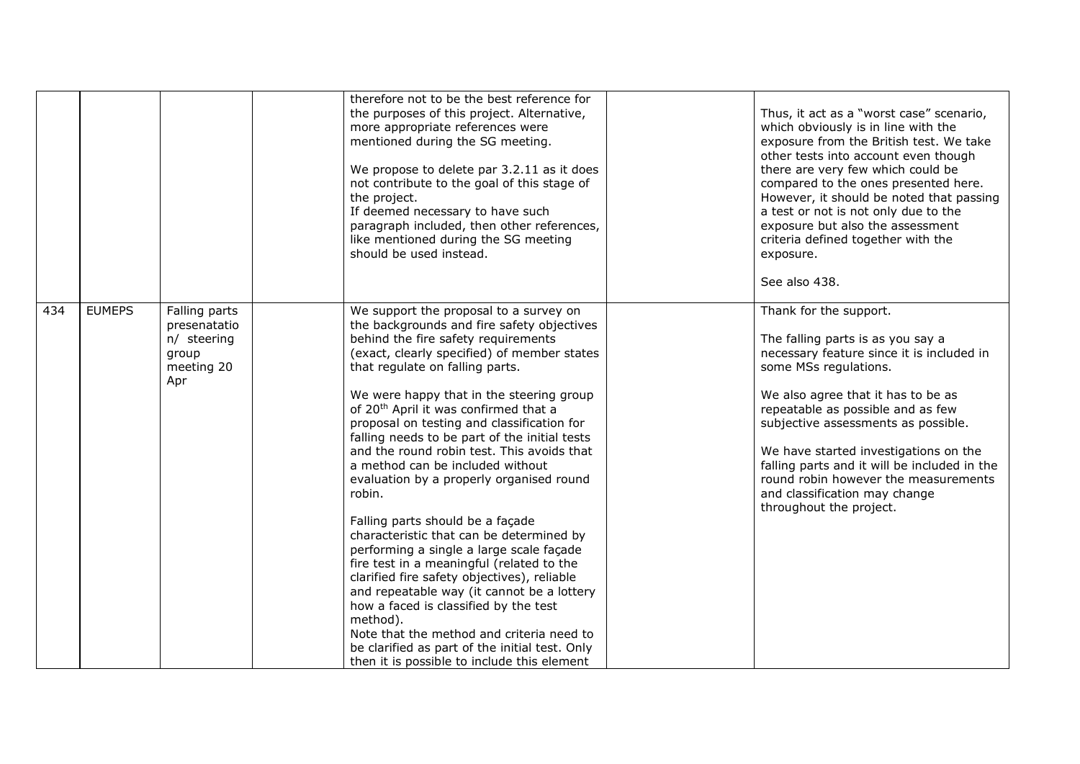|     |               |                                                                            | therefore not to be the best reference for<br>the purposes of this project. Alternative,<br>more appropriate references were<br>mentioned during the SG meeting.<br>We propose to delete par 3.2.11 as it does<br>not contribute to the goal of this stage of<br>the project.<br>If deemed necessary to have such<br>paragraph included, then other references,<br>like mentioned during the SG meeting<br>should be used instead.                                                                                                                                                                                                                                                                                                                                                                                                                                                                                                                                                                                             |  | Thus, it act as a "worst case" scenario,<br>which obviously is in line with the<br>exposure from the British test. We take<br>other tests into account even though<br>there are very few which could be<br>compared to the ones presented here.<br>However, it should be noted that passing<br>a test or not is not only due to the<br>exposure but also the assessment<br>criteria defined together with the<br>exposure.<br>See also 438.      |
|-----|---------------|----------------------------------------------------------------------------|--------------------------------------------------------------------------------------------------------------------------------------------------------------------------------------------------------------------------------------------------------------------------------------------------------------------------------------------------------------------------------------------------------------------------------------------------------------------------------------------------------------------------------------------------------------------------------------------------------------------------------------------------------------------------------------------------------------------------------------------------------------------------------------------------------------------------------------------------------------------------------------------------------------------------------------------------------------------------------------------------------------------------------|--|--------------------------------------------------------------------------------------------------------------------------------------------------------------------------------------------------------------------------------------------------------------------------------------------------------------------------------------------------------------------------------------------------------------------------------------------------|
| 434 | <b>EUMEPS</b> | Falling parts<br>presenatatio<br>n/ steering<br>group<br>meeting 20<br>Apr | We support the proposal to a survey on<br>the backgrounds and fire safety objectives<br>behind the fire safety requirements<br>(exact, clearly specified) of member states<br>that regulate on falling parts.<br>We were happy that in the steering group<br>of 20 <sup>th</sup> April it was confirmed that a<br>proposal on testing and classification for<br>falling needs to be part of the initial tests<br>and the round robin test. This avoids that<br>a method can be included without<br>evaluation by a properly organised round<br>robin.<br>Falling parts should be a façade<br>characteristic that can be determined by<br>performing a single a large scale façade<br>fire test in a meaningful (related to the<br>clarified fire safety objectives), reliable<br>and repeatable way (it cannot be a lottery<br>how a faced is classified by the test<br>method).<br>Note that the method and criteria need to<br>be clarified as part of the initial test. Only<br>then it is possible to include this element |  | Thank for the support.<br>The falling parts is as you say a<br>necessary feature since it is included in<br>some MSs regulations.<br>We also agree that it has to be as<br>repeatable as possible and as few<br>subjective assessments as possible.<br>We have started investigations on the<br>falling parts and it will be included in the<br>round robin however the measurements<br>and classification may change<br>throughout the project. |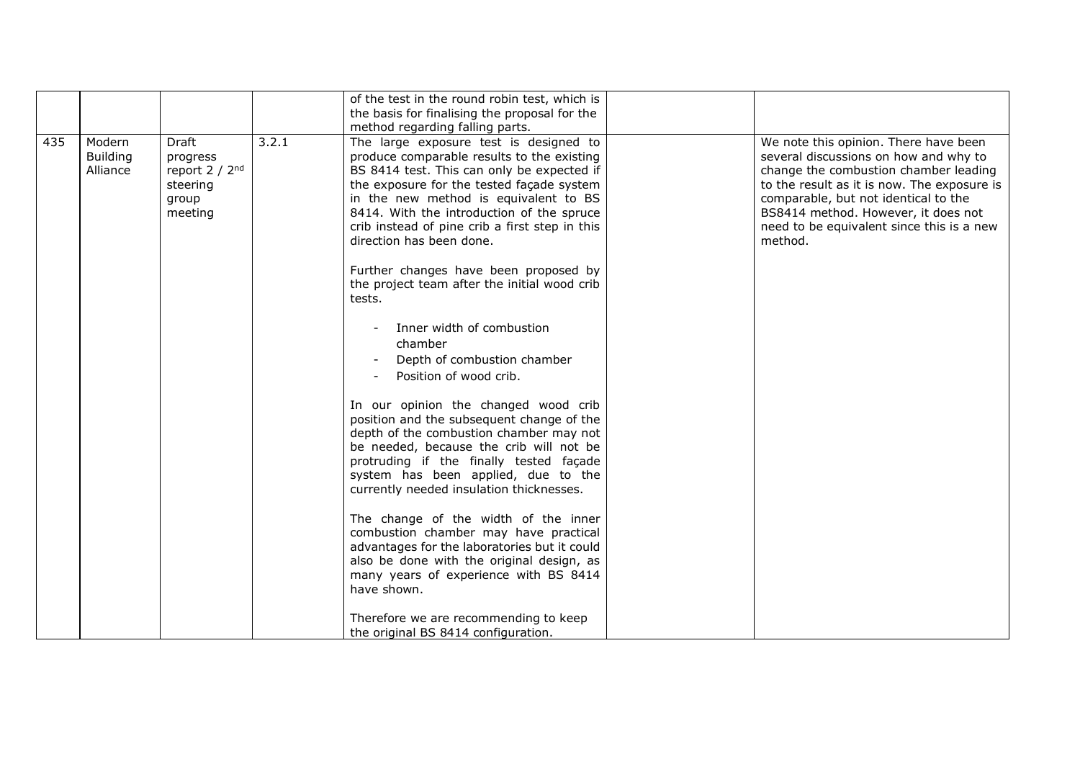|     |                                       |                                                                                        |       | of the test in the round robin test, which is<br>the basis for finalising the proposal for the<br>method regarding falling parts.                                                                                                                                                                                                                                                            |                                                                                                                                                                                                                                                                                                               |
|-----|---------------------------------------|----------------------------------------------------------------------------------------|-------|----------------------------------------------------------------------------------------------------------------------------------------------------------------------------------------------------------------------------------------------------------------------------------------------------------------------------------------------------------------------------------------------|---------------------------------------------------------------------------------------------------------------------------------------------------------------------------------------------------------------------------------------------------------------------------------------------------------------|
| 435 | Modern<br><b>Building</b><br>Alliance | <b>Draft</b><br>progress<br>report 2 / 2 <sup>nd</sup><br>steering<br>group<br>meeting | 3.2.1 | The large exposure test is designed to<br>produce comparable results to the existing<br>BS 8414 test. This can only be expected if<br>the exposure for the tested façade system<br>in the new method is equivalent to BS<br>8414. With the introduction of the spruce<br>crib instead of pine crib a first step in this<br>direction has been done.<br>Further changes have been proposed by | We note this opinion. There have been<br>several discussions on how and why to<br>change the combustion chamber leading<br>to the result as it is now. The exposure is<br>comparable, but not identical to the<br>BS8414 method. However, it does not<br>need to be equivalent since this is a new<br>method. |
|     |                                       |                                                                                        |       | the project team after the initial wood crib<br>tests.<br>Inner width of combustion                                                                                                                                                                                                                                                                                                          |                                                                                                                                                                                                                                                                                                               |
|     |                                       |                                                                                        |       | chamber<br>Depth of combustion chamber<br>Position of wood crib.                                                                                                                                                                                                                                                                                                                             |                                                                                                                                                                                                                                                                                                               |
|     |                                       |                                                                                        |       | In our opinion the changed wood crib<br>position and the subsequent change of the<br>depth of the combustion chamber may not<br>be needed, because the crib will not be<br>protruding if the finally tested façade<br>system has been applied, due to the<br>currently needed insulation thicknesses.                                                                                        |                                                                                                                                                                                                                                                                                                               |
|     |                                       |                                                                                        |       | The change of the width of the inner<br>combustion chamber may have practical<br>advantages for the laboratories but it could<br>also be done with the original design, as<br>many years of experience with BS 8414<br>have shown.                                                                                                                                                           |                                                                                                                                                                                                                                                                                                               |
|     |                                       |                                                                                        |       | Therefore we are recommending to keep<br>the original BS 8414 configuration.                                                                                                                                                                                                                                                                                                                 |                                                                                                                                                                                                                                                                                                               |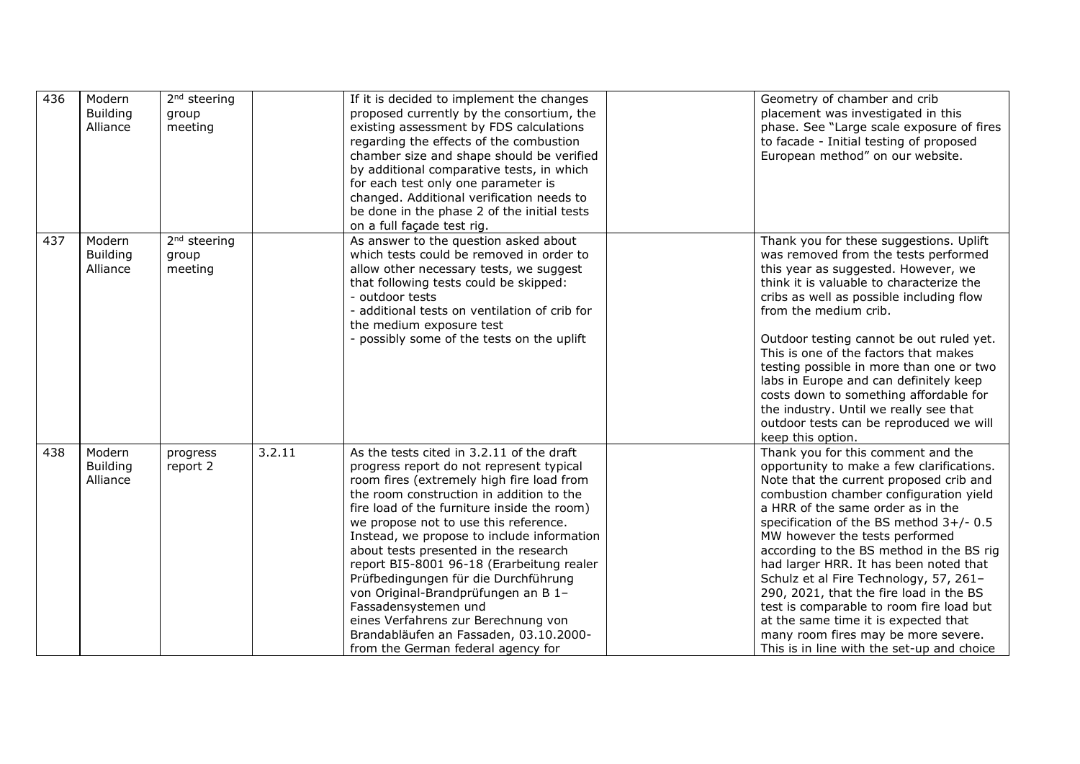| 436 | Modern<br><b>Building</b><br>Alliance | 2 <sup>nd</sup> steering<br>group<br>meeting |        | If it is decided to implement the changes<br>proposed currently by the consortium, the<br>existing assessment by FDS calculations<br>regarding the effects of the combustion<br>chamber size and shape should be verified<br>by additional comparative tests, in which<br>for each test only one parameter is<br>changed. Additional verification needs to<br>be done in the phase 2 of the initial tests<br>on a full façade test rig.                                                                                                                                                                                                  | Geometry of chamber and crib<br>placement was investigated in this<br>phase. See "Large scale exposure of fires<br>to facade - Initial testing of proposed<br>European method" on our website.                                                                                                                                                                                                                                                                                                                                                                                                                                             |
|-----|---------------------------------------|----------------------------------------------|--------|------------------------------------------------------------------------------------------------------------------------------------------------------------------------------------------------------------------------------------------------------------------------------------------------------------------------------------------------------------------------------------------------------------------------------------------------------------------------------------------------------------------------------------------------------------------------------------------------------------------------------------------|--------------------------------------------------------------------------------------------------------------------------------------------------------------------------------------------------------------------------------------------------------------------------------------------------------------------------------------------------------------------------------------------------------------------------------------------------------------------------------------------------------------------------------------------------------------------------------------------------------------------------------------------|
| 437 | Modern<br><b>Building</b><br>Alliance | 2 <sup>nd</sup> steering<br>group<br>meeting |        | As answer to the question asked about<br>which tests could be removed in order to<br>allow other necessary tests, we suggest<br>that following tests could be skipped:<br>- outdoor tests<br>- additional tests on ventilation of crib for<br>the medium exposure test<br>- possibly some of the tests on the uplift                                                                                                                                                                                                                                                                                                                     | Thank you for these suggestions. Uplift<br>was removed from the tests performed<br>this year as suggested. However, we<br>think it is valuable to characterize the<br>cribs as well as possible including flow<br>from the medium crib.<br>Outdoor testing cannot be out ruled yet.<br>This is one of the factors that makes<br>testing possible in more than one or two<br>labs in Europe and can definitely keep<br>costs down to something affordable for<br>the industry. Until we really see that<br>outdoor tests can be reproduced we will<br>keep this option.                                                                     |
| 438 | Modern<br><b>Building</b><br>Alliance | progress<br>report 2                         | 3.2.11 | As the tests cited in 3.2.11 of the draft<br>progress report do not represent typical<br>room fires (extremely high fire load from<br>the room construction in addition to the<br>fire load of the furniture inside the room)<br>we propose not to use this reference.<br>Instead, we propose to include information<br>about tests presented in the research<br>report BI5-8001 96-18 (Erarbeitung realer<br>Prüfbedingungen für die Durchführung<br>von Original-Brandprüfungen an B 1-<br>Fassadensystemen und<br>eines Verfahrens zur Berechnung von<br>Brandabläufen an Fassaden, 03.10.2000-<br>from the German federal agency for | Thank you for this comment and the<br>opportunity to make a few clarifications.<br>Note that the current proposed crib and<br>combustion chamber configuration yield<br>a HRR of the same order as in the<br>specification of the BS method 3+/- 0.5<br>MW however the tests performed<br>according to the BS method in the BS rig<br>had larger HRR. It has been noted that<br>Schulz et al Fire Technology, 57, 261-<br>290, 2021, that the fire load in the BS<br>test is comparable to room fire load but<br>at the same time it is expected that<br>many room fires may be more severe.<br>This is in line with the set-up and choice |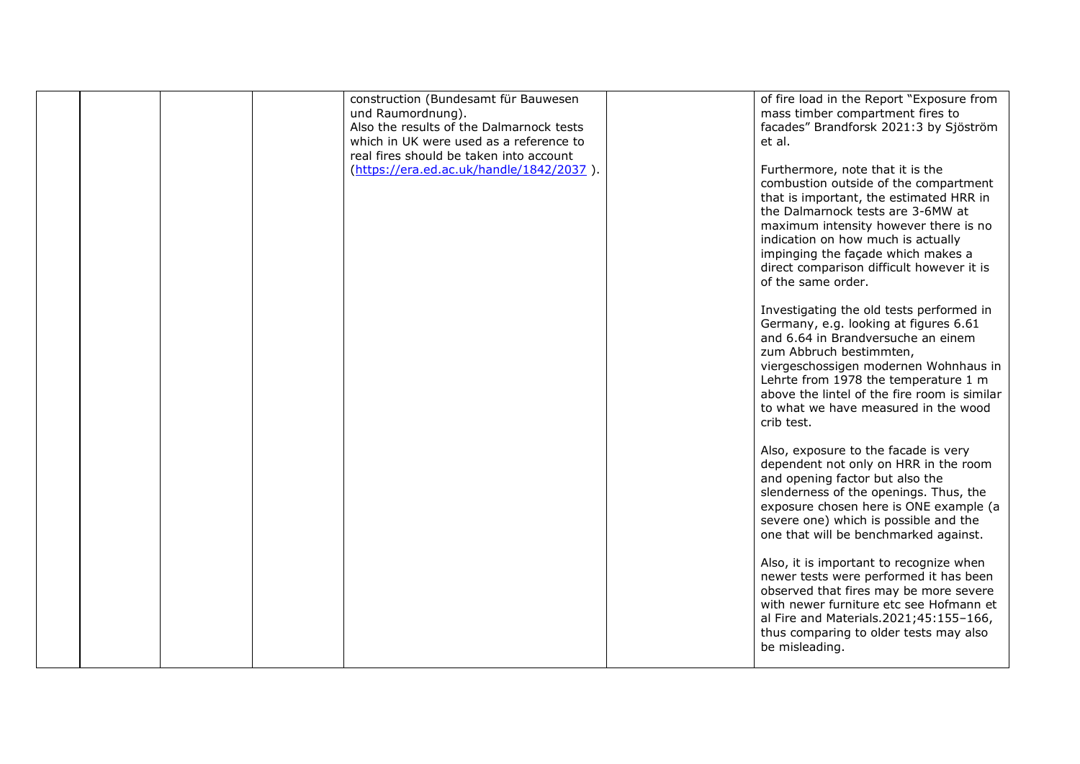|  |  | construction (Bundesamt für Bauwesen<br>und Raumordnung).<br>Also the results of the Dalmarnock tests<br>which in UK were used as a reference to<br>real fires should be taken into account | of fire load in the Report "Exposure from<br>mass timber compartment fires to<br>facades" Brandforsk 2021:3 by Sjöström<br>et al.                                                                                                                                                                                                                 |
|--|--|---------------------------------------------------------------------------------------------------------------------------------------------------------------------------------------------|---------------------------------------------------------------------------------------------------------------------------------------------------------------------------------------------------------------------------------------------------------------------------------------------------------------------------------------------------|
|  |  | (https://era.ed.ac.uk/handle/1842/2037).                                                                                                                                                    | Furthermore, note that it is the<br>combustion outside of the compartment<br>that is important, the estimated HRR in<br>the Dalmarnock tests are 3-6MW at<br>maximum intensity however there is no<br>indication on how much is actually<br>impinging the façade which makes a<br>direct comparison difficult however it is<br>of the same order. |
|  |  |                                                                                                                                                                                             | Investigating the old tests performed in<br>Germany, e.g. looking at figures 6.61<br>and 6.64 in Brandversuche an einem<br>zum Abbruch bestimmten,<br>viergeschossigen modernen Wohnhaus in<br>Lehrte from 1978 the temperature 1 m<br>above the lintel of the fire room is similar<br>to what we have measured in the wood<br>crib test.         |
|  |  |                                                                                                                                                                                             | Also, exposure to the facade is very<br>dependent not only on HRR in the room<br>and opening factor but also the<br>slenderness of the openings. Thus, the<br>exposure chosen here is ONE example (a<br>severe one) which is possible and the<br>one that will be benchmarked against.                                                            |
|  |  |                                                                                                                                                                                             | Also, it is important to recognize when<br>newer tests were performed it has been<br>observed that fires may be more severe<br>with newer furniture etc see Hofmann et<br>al Fire and Materials.2021;45:155-166,<br>thus comparing to older tests may also<br>be misleading.                                                                      |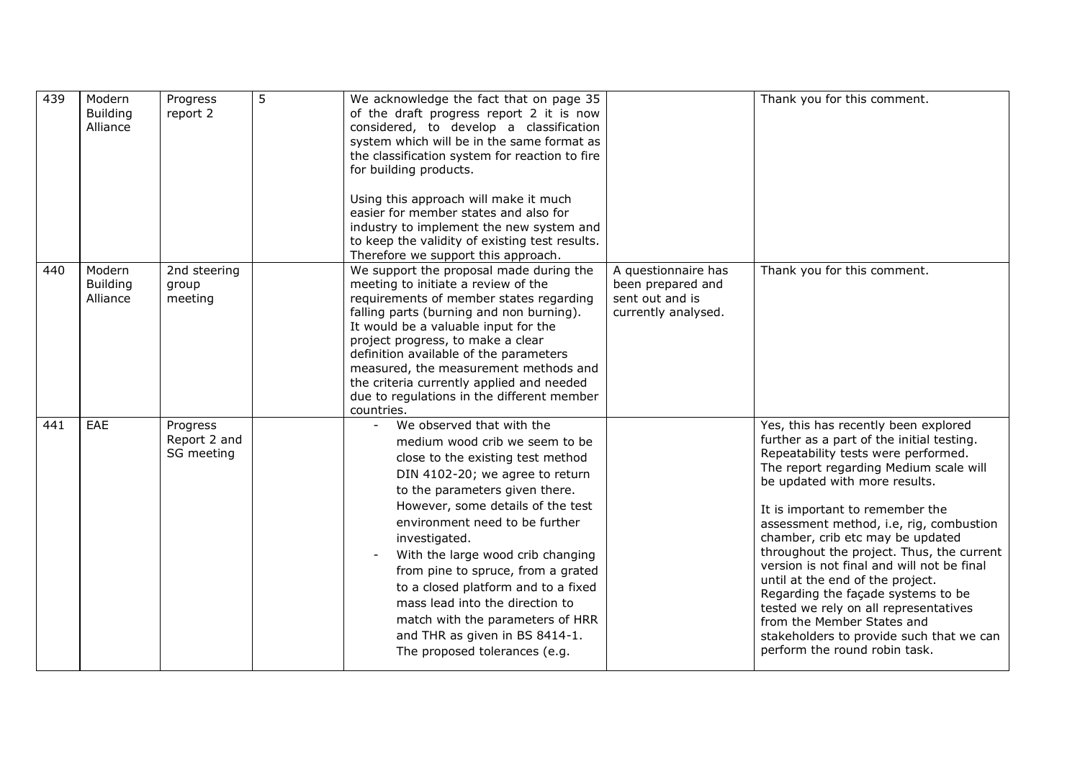| 439 | Modern<br><b>Building</b><br>Alliance | Progress<br>report 2                   | 5 | We acknowledge the fact that on page 35<br>of the draft progress report 2 it is now<br>considered, to develop a classification<br>system which will be in the same format as<br>the classification system for reaction to fire<br>for building products.<br>Using this approach will make it much<br>easier for member states and also for<br>industry to implement the new system and<br>to keep the validity of existing test results.<br>Therefore we support this approach.                                                       |                                                                                    | Thank you for this comment.                                                                                                                                                                                                                                                                                                                                                                                                                                                                                                                                                                                                                    |
|-----|---------------------------------------|----------------------------------------|---|---------------------------------------------------------------------------------------------------------------------------------------------------------------------------------------------------------------------------------------------------------------------------------------------------------------------------------------------------------------------------------------------------------------------------------------------------------------------------------------------------------------------------------------|------------------------------------------------------------------------------------|------------------------------------------------------------------------------------------------------------------------------------------------------------------------------------------------------------------------------------------------------------------------------------------------------------------------------------------------------------------------------------------------------------------------------------------------------------------------------------------------------------------------------------------------------------------------------------------------------------------------------------------------|
| 440 | Modern<br><b>Building</b><br>Alliance | 2nd steering<br>group<br>meeting       |   | We support the proposal made during the<br>meeting to initiate a review of the<br>requirements of member states regarding<br>falling parts (burning and non burning).<br>It would be a valuable input for the<br>project progress, to make a clear<br>definition available of the parameters<br>measured, the measurement methods and<br>the criteria currently applied and needed<br>due to regulations in the different member<br>countries.                                                                                        | A questionnaire has<br>been prepared and<br>sent out and is<br>currently analysed. | Thank you for this comment.                                                                                                                                                                                                                                                                                                                                                                                                                                                                                                                                                                                                                    |
| 441 | EAE                                   | Progress<br>Report 2 and<br>SG meeting |   | We observed that with the<br>$\equiv$<br>medium wood crib we seem to be<br>close to the existing test method<br>DIN 4102-20; we agree to return<br>to the parameters given there.<br>However, some details of the test<br>environment need to be further<br>investigated.<br>With the large wood crib changing<br>from pine to spruce, from a grated<br>to a closed platform and to a fixed<br>mass lead into the direction to<br>match with the parameters of HRR<br>and THR as given in BS 8414-1.<br>The proposed tolerances (e.g. |                                                                                    | Yes, this has recently been explored<br>further as a part of the initial testing.<br>Repeatability tests were performed.<br>The report regarding Medium scale will<br>be updated with more results.<br>It is important to remember the<br>assessment method, i.e, rig, combustion<br>chamber, crib etc may be updated<br>throughout the project. Thus, the current<br>version is not final and will not be final<br>until at the end of the project.<br>Regarding the façade systems to be<br>tested we rely on all representatives<br>from the Member States and<br>stakeholders to provide such that we can<br>perform the round robin task. |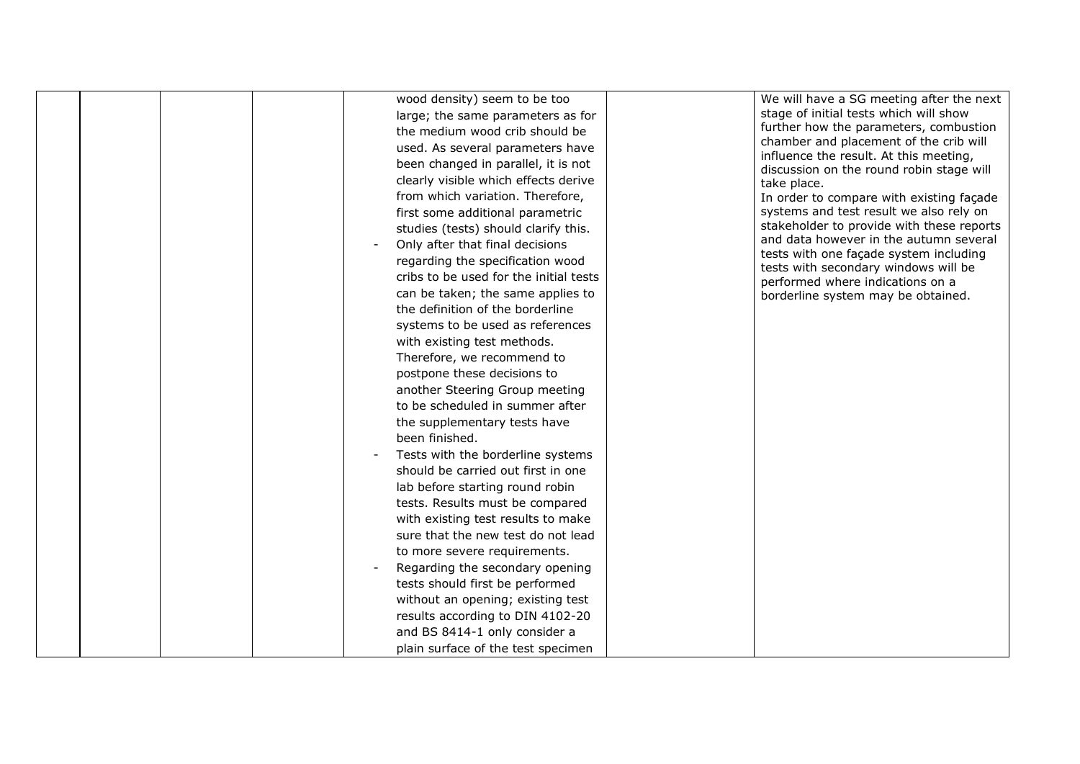|  | been finished. | wood density) seem to be too<br>large; the same parameters as for<br>the medium wood crib should be<br>used. As several parameters have<br>been changed in parallel, it is not<br>clearly visible which effects derive<br>from which variation. Therefore,<br>first some additional parametric<br>studies (tests) should clarify this.<br>Only after that final decisions<br>regarding the specification wood<br>cribs to be used for the initial tests<br>can be taken; the same applies to<br>the definition of the borderline<br>systems to be used as references<br>with existing test methods.<br>Therefore, we recommend to<br>postpone these decisions to<br>another Steering Group meeting<br>to be scheduled in summer after<br>the supplementary tests have<br>Tests with the borderline systems<br>should be carried out first in one<br>lab before starting round robin<br>tests. Results must be compared<br>with existing test results to make<br>sure that the new test do not lead<br>to more severe requirements. | We will have a SG meeting after the next<br>stage of initial tests which will show<br>further how the parameters, combustion<br>chamber and placement of the crib will<br>influence the result. At this meeting,<br>discussion on the round robin stage will<br>take place.<br>In order to compare with existing façade<br>systems and test result we also rely on<br>stakeholder to provide with these reports<br>and data however in the autumn several<br>tests with one façade system including<br>tests with secondary windows will be<br>performed where indications on a<br>borderline system may be obtained. |
|--|----------------|------------------------------------------------------------------------------------------------------------------------------------------------------------------------------------------------------------------------------------------------------------------------------------------------------------------------------------------------------------------------------------------------------------------------------------------------------------------------------------------------------------------------------------------------------------------------------------------------------------------------------------------------------------------------------------------------------------------------------------------------------------------------------------------------------------------------------------------------------------------------------------------------------------------------------------------------------------------------------------------------------------------------------------|-----------------------------------------------------------------------------------------------------------------------------------------------------------------------------------------------------------------------------------------------------------------------------------------------------------------------------------------------------------------------------------------------------------------------------------------------------------------------------------------------------------------------------------------------------------------------------------------------------------------------|
|  |                |                                                                                                                                                                                                                                                                                                                                                                                                                                                                                                                                                                                                                                                                                                                                                                                                                                                                                                                                                                                                                                    |                                                                                                                                                                                                                                                                                                                                                                                                                                                                                                                                                                                                                       |
|  |                |                                                                                                                                                                                                                                                                                                                                                                                                                                                                                                                                                                                                                                                                                                                                                                                                                                                                                                                                                                                                                                    |                                                                                                                                                                                                                                                                                                                                                                                                                                                                                                                                                                                                                       |
|  |                |                                                                                                                                                                                                                                                                                                                                                                                                                                                                                                                                                                                                                                                                                                                                                                                                                                                                                                                                                                                                                                    |                                                                                                                                                                                                                                                                                                                                                                                                                                                                                                                                                                                                                       |
|  |                | Regarding the secondary opening<br>tests should first be performed                                                                                                                                                                                                                                                                                                                                                                                                                                                                                                                                                                                                                                                                                                                                                                                                                                                                                                                                                                 |                                                                                                                                                                                                                                                                                                                                                                                                                                                                                                                                                                                                                       |
|  |                |                                                                                                                                                                                                                                                                                                                                                                                                                                                                                                                                                                                                                                                                                                                                                                                                                                                                                                                                                                                                                                    |                                                                                                                                                                                                                                                                                                                                                                                                                                                                                                                                                                                                                       |
|  |                | without an opening; existing test                                                                                                                                                                                                                                                                                                                                                                                                                                                                                                                                                                                                                                                                                                                                                                                                                                                                                                                                                                                                  |                                                                                                                                                                                                                                                                                                                                                                                                                                                                                                                                                                                                                       |
|  |                | results according to DIN 4102-20                                                                                                                                                                                                                                                                                                                                                                                                                                                                                                                                                                                                                                                                                                                                                                                                                                                                                                                                                                                                   |                                                                                                                                                                                                                                                                                                                                                                                                                                                                                                                                                                                                                       |
|  |                | and BS 8414-1 only consider a                                                                                                                                                                                                                                                                                                                                                                                                                                                                                                                                                                                                                                                                                                                                                                                                                                                                                                                                                                                                      |                                                                                                                                                                                                                                                                                                                                                                                                                                                                                                                                                                                                                       |
|  |                | plain surface of the test specimen                                                                                                                                                                                                                                                                                                                                                                                                                                                                                                                                                                                                                                                                                                                                                                                                                                                                                                                                                                                                 |                                                                                                                                                                                                                                                                                                                                                                                                                                                                                                                                                                                                                       |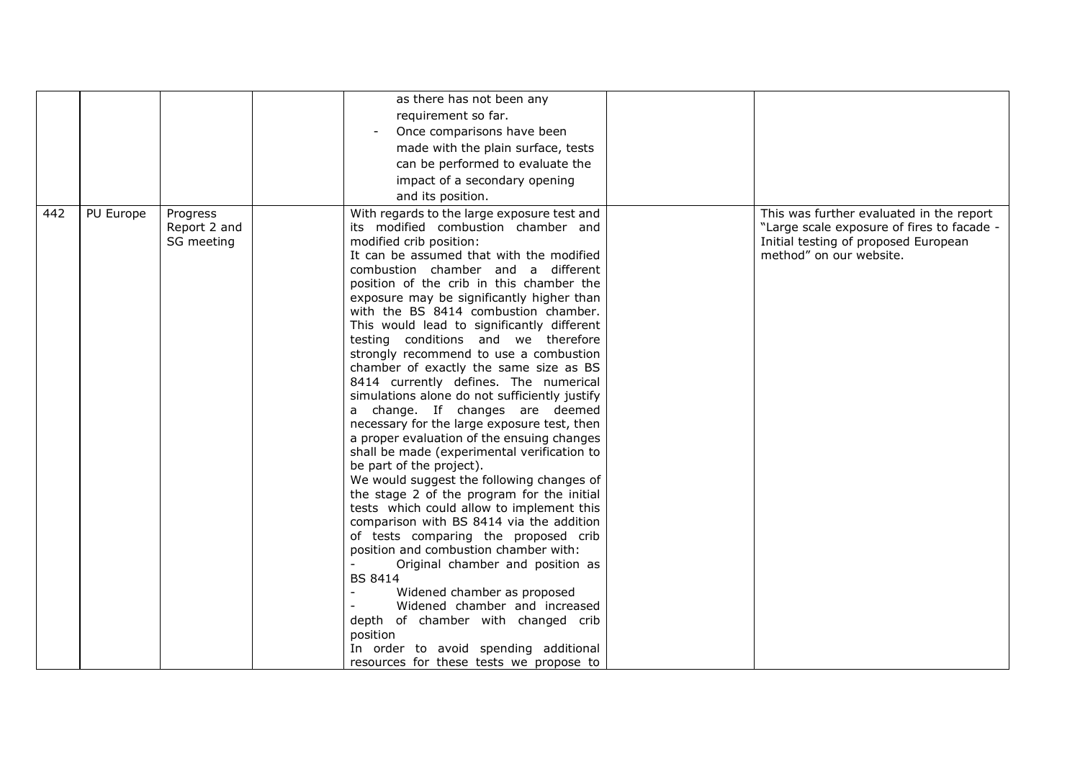|     |           |                                        | as there has not been any<br>requirement so far.<br>Once comparisons have been<br>made with the plain surface, tests<br>can be performed to evaluate the<br>impact of a secondary opening<br>and its position.                                                                                                                                                                                                                                                                                                                                                                                                                                                                                                                                                                                                                                                                                                                                                                                                                                                                                                                                                                                                                                                                                                                                  |                                                                                                                                                           |
|-----|-----------|----------------------------------------|-------------------------------------------------------------------------------------------------------------------------------------------------------------------------------------------------------------------------------------------------------------------------------------------------------------------------------------------------------------------------------------------------------------------------------------------------------------------------------------------------------------------------------------------------------------------------------------------------------------------------------------------------------------------------------------------------------------------------------------------------------------------------------------------------------------------------------------------------------------------------------------------------------------------------------------------------------------------------------------------------------------------------------------------------------------------------------------------------------------------------------------------------------------------------------------------------------------------------------------------------------------------------------------------------------------------------------------------------|-----------------------------------------------------------------------------------------------------------------------------------------------------------|
| 442 | PU Europe | Progress<br>Report 2 and<br>SG meeting | With regards to the large exposure test and<br>its modified combustion chamber and<br>modified crib position:<br>It can be assumed that with the modified<br>combustion chamber and a different<br>position of the crib in this chamber the<br>exposure may be significantly higher than<br>with the BS 8414 combustion chamber.<br>This would lead to significantly different<br>testing conditions and we therefore<br>strongly recommend to use a combustion<br>chamber of exactly the same size as BS<br>8414 currently defines. The numerical<br>simulations alone do not sufficiently justify<br>a change. If changes are deemed<br>necessary for the large exposure test, then<br>a proper evaluation of the ensuing changes<br>shall be made (experimental verification to<br>be part of the project).<br>We would suggest the following changes of<br>the stage 2 of the program for the initial<br>tests which could allow to implement this<br>comparison with BS 8414 via the addition<br>of tests comparing the proposed crib<br>position and combustion chamber with:<br>Original chamber and position as<br><b>BS 8414</b><br>Widened chamber as proposed<br>Widened chamber and increased<br>depth of chamber with changed crib<br>position<br>In order to avoid spending additional<br>resources for these tests we propose to | This was further evaluated in the report<br>"Large scale exposure of fires to facade -<br>Initial testing of proposed European<br>method" on our website. |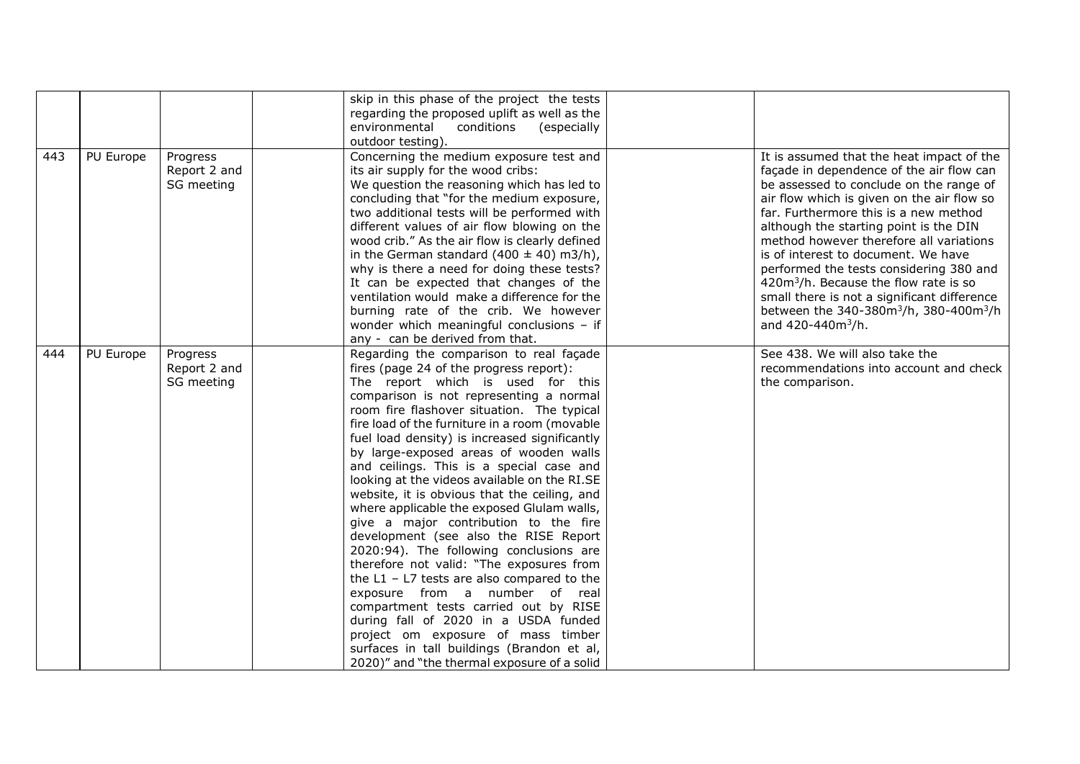|     |           |                                        | environmental<br>outdoor testing).                                    | skip in this phase of the project the tests<br>regarding the proposed uplift as well as the<br>conditions<br>(especially                                                                                                                                                                                                                                                                                                                                                                                                                                                                                                                                                                                                                                                                                                                                                                                                                                                                                                              |                                                                                                                                                                                                                                                                                                                                                                                                                                                                                                                                                                                                       |
|-----|-----------|----------------------------------------|-----------------------------------------------------------------------|---------------------------------------------------------------------------------------------------------------------------------------------------------------------------------------------------------------------------------------------------------------------------------------------------------------------------------------------------------------------------------------------------------------------------------------------------------------------------------------------------------------------------------------------------------------------------------------------------------------------------------------------------------------------------------------------------------------------------------------------------------------------------------------------------------------------------------------------------------------------------------------------------------------------------------------------------------------------------------------------------------------------------------------|-------------------------------------------------------------------------------------------------------------------------------------------------------------------------------------------------------------------------------------------------------------------------------------------------------------------------------------------------------------------------------------------------------------------------------------------------------------------------------------------------------------------------------------------------------------------------------------------------------|
| 443 | PU Europe | Progress<br>Report 2 and<br>SG meeting | its air supply for the wood cribs:<br>any - can be derived from that. | Concerning the medium exposure test and<br>We question the reasoning which has led to<br>concluding that "for the medium exposure,<br>two additional tests will be performed with<br>different values of air flow blowing on the<br>wood crib." As the air flow is clearly defined<br>in the German standard $(400 \pm 40)$ m3/h),<br>why is there a need for doing these tests?<br>It can be expected that changes of the<br>ventilation would make a difference for the<br>burning rate of the crib. We however<br>wonder which meaningful conclusions - if                                                                                                                                                                                                                                                                                                                                                                                                                                                                         | It is assumed that the heat impact of the<br>façade in dependence of the air flow can<br>be assessed to conclude on the range of<br>air flow which is given on the air flow so<br>far. Furthermore this is a new method<br>although the starting point is the DIN<br>method however therefore all variations<br>is of interest to document. We have<br>performed the tests considering 380 and<br>420m <sup>3</sup> /h. Because the flow rate is so<br>small there is not a significant difference<br>between the 340-380m <sup>3</sup> /h, 380-400m <sup>3</sup> /h<br>and 420-440m <sup>3</sup> /h. |
| 444 | PU Europe | Progress<br>Report 2 and<br>SG meeting |                                                                       | Regarding the comparison to real façade<br>fires (page 24 of the progress report):<br>The report which is used for this<br>comparison is not representing a normal<br>room fire flashover situation. The typical<br>fire load of the furniture in a room (movable<br>fuel load density) is increased significantly<br>by large-exposed areas of wooden walls<br>and ceilings. This is a special case and<br>looking at the videos available on the RI.SE<br>website, it is obvious that the ceiling, and<br>where applicable the exposed Glulam walls,<br>give a major contribution to the fire<br>development (see also the RISE Report<br>2020:94). The following conclusions are<br>therefore not valid: "The exposures from<br>the $L1 - L7$ tests are also compared to the<br>exposure from a number of real<br>compartment tests carried out by RISE<br>during fall of 2020 in a USDA funded<br>project om exposure of mass timber<br>surfaces in tall buildings (Brandon et al,<br>2020)" and "the thermal exposure of a solid | See 438. We will also take the<br>recommendations into account and check<br>the comparison.                                                                                                                                                                                                                                                                                                                                                                                                                                                                                                           |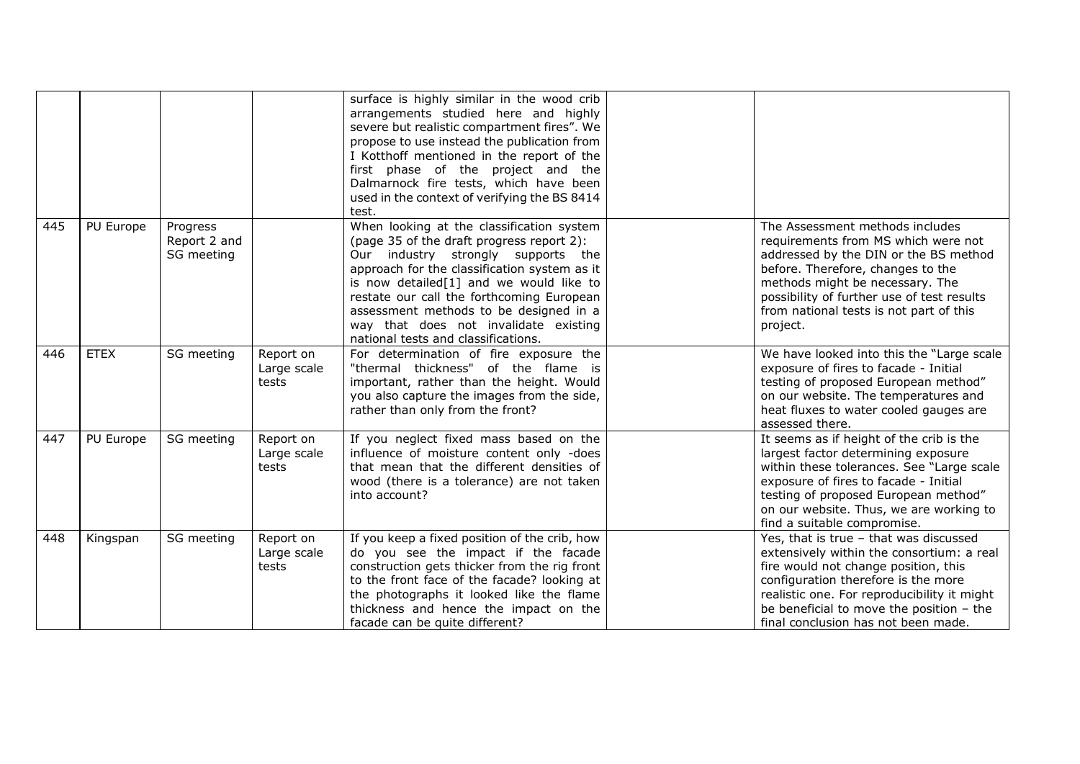|     |             |                                        |                                   | surface is highly similar in the wood crib<br>arrangements studied here and highly<br>severe but realistic compartment fires". We<br>propose to use instead the publication from<br>I Kotthoff mentioned in the report of the<br>first phase of the project and the<br>Dalmarnock fire tests, which have been<br>used in the context of verifying the BS 8414<br>test.                         |                                                                                                                                                                                                                                                                                                      |
|-----|-------------|----------------------------------------|-----------------------------------|------------------------------------------------------------------------------------------------------------------------------------------------------------------------------------------------------------------------------------------------------------------------------------------------------------------------------------------------------------------------------------------------|------------------------------------------------------------------------------------------------------------------------------------------------------------------------------------------------------------------------------------------------------------------------------------------------------|
| 445 | PU Europe   | Progress<br>Report 2 and<br>SG meeting |                                   | When looking at the classification system<br>(page 35 of the draft progress report 2):<br>Our industry strongly supports the<br>approach for the classification system as it<br>is now detailed[1] and we would like to<br>restate our call the forthcoming European<br>assessment methods to be designed in a<br>way that does not invalidate existing<br>national tests and classifications. | The Assessment methods includes<br>requirements from MS which were not<br>addressed by the DIN or the BS method<br>before. Therefore, changes to the<br>methods might be necessary. The<br>possibility of further use of test results<br>from national tests is not part of this<br>project.         |
| 446 | <b>ETEX</b> | SG meeting                             | Report on<br>Large scale<br>tests | For determination of fire exposure the<br>"thermal thickness" of the flame is<br>important, rather than the height. Would<br>you also capture the images from the side,<br>rather than only from the front?                                                                                                                                                                                    | We have looked into this the "Large scale<br>exposure of fires to facade - Initial<br>testing of proposed European method"<br>on our website. The temperatures and<br>heat fluxes to water cooled gauges are<br>assessed there.                                                                      |
| 447 | PU Europe   | SG meeting                             | Report on<br>Large scale<br>tests | If you neglect fixed mass based on the<br>influence of moisture content only -does<br>that mean that the different densities of<br>wood (there is a tolerance) are not taken<br>into account?                                                                                                                                                                                                  | It seems as if height of the crib is the<br>largest factor determining exposure<br>within these tolerances. See "Large scale<br>exposure of fires to facade - Initial<br>testing of proposed European method"<br>on our website. Thus, we are working to<br>find a suitable compromise.              |
| 448 | Kingspan    | SG meeting                             | Report on<br>Large scale<br>tests | If you keep a fixed position of the crib, how<br>do you see the impact if the facade<br>construction gets thicker from the rig front<br>to the front face of the facade? looking at<br>the photographs it looked like the flame<br>thickness and hence the impact on the<br>facade can be quite different?                                                                                     | Yes, that is true - that was discussed<br>extensively within the consortium: a real<br>fire would not change position, this<br>configuration therefore is the more<br>realistic one. For reproducibility it might<br>be beneficial to move the position - the<br>final conclusion has not been made. |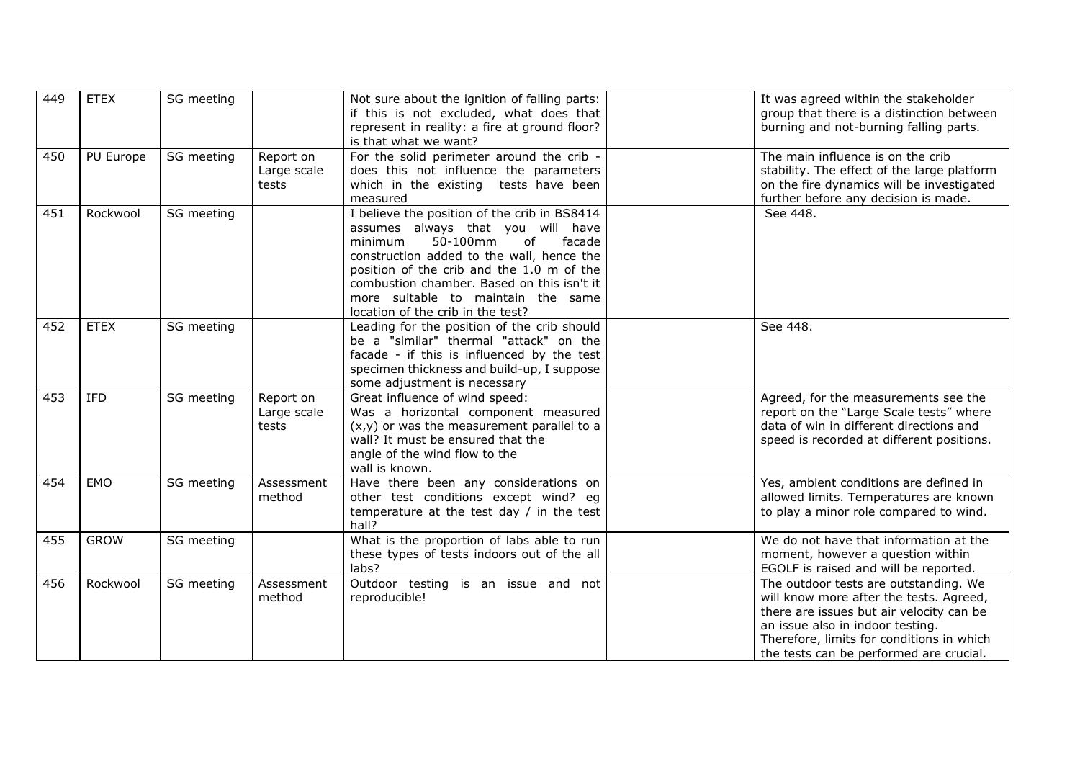| 449 | <b>ETEX</b> | SG meeting |                                   | Not sure about the ignition of falling parts:<br>if this is not excluded, what does that<br>represent in reality: a fire at ground floor?<br>is that what we want?                                                                                                                                                                          | It was agreed within the stakeholder<br>group that there is a distinction between<br>burning and not-burning falling parts.                                                                                                                              |
|-----|-------------|------------|-----------------------------------|---------------------------------------------------------------------------------------------------------------------------------------------------------------------------------------------------------------------------------------------------------------------------------------------------------------------------------------------|----------------------------------------------------------------------------------------------------------------------------------------------------------------------------------------------------------------------------------------------------------|
| 450 | PU Europe   | SG meeting | Report on<br>Large scale<br>tests | For the solid perimeter around the crib -<br>does this not influence the parameters<br>which in the existing tests have been<br>measured                                                                                                                                                                                                    | The main influence is on the crib<br>stability. The effect of the large platform<br>on the fire dynamics will be investigated<br>further before any decision is made.                                                                                    |
| 451 | Rockwool    | SG meeting |                                   | I believe the position of the crib in BS8414<br>assumes always that you will have<br>50-100mm<br>of<br>facade<br>minimum<br>construction added to the wall, hence the<br>position of the crib and the 1.0 m of the<br>combustion chamber. Based on this isn't it<br>more suitable to maintain the same<br>location of the crib in the test? | See 448.                                                                                                                                                                                                                                                 |
| 452 | <b>ETEX</b> | SG meeting |                                   | Leading for the position of the crib should<br>be a "similar" thermal "attack" on the<br>facade - if this is influenced by the test<br>specimen thickness and build-up, I suppose<br>some adjustment is necessary                                                                                                                           | See 448.                                                                                                                                                                                                                                                 |
| 453 | IFD         | SG meeting | Report on<br>Large scale<br>tests | Great influence of wind speed:<br>Was a horizontal component measured<br>$(x,y)$ or was the measurement parallel to a<br>wall? It must be ensured that the<br>angle of the wind flow to the<br>wall is known.                                                                                                                               | Agreed, for the measurements see the<br>report on the "Large Scale tests" where<br>data of win in different directions and<br>speed is recorded at different positions.                                                                                  |
| 454 | EMO         | SG meeting | Assessment<br>method              | Have there been any considerations on<br>other test conditions except wind? eg<br>temperature at the test day / in the test<br>hall?                                                                                                                                                                                                        | Yes, ambient conditions are defined in<br>allowed limits. Temperatures are known<br>to play a minor role compared to wind.                                                                                                                               |
| 455 | <b>GROW</b> | SG meeting |                                   | What is the proportion of labs able to run<br>these types of tests indoors out of the all<br>labs?                                                                                                                                                                                                                                          | We do not have that information at the<br>moment, however a question within<br>EGOLF is raised and will be reported.                                                                                                                                     |
| 456 | Rockwool    | SG meeting | Assessment<br>method              | Outdoor testing is an issue and not<br>reproducible!                                                                                                                                                                                                                                                                                        | The outdoor tests are outstanding. We<br>will know more after the tests. Agreed,<br>there are issues but air velocity can be<br>an issue also in indoor testing.<br>Therefore, limits for conditions in which<br>the tests can be performed are crucial. |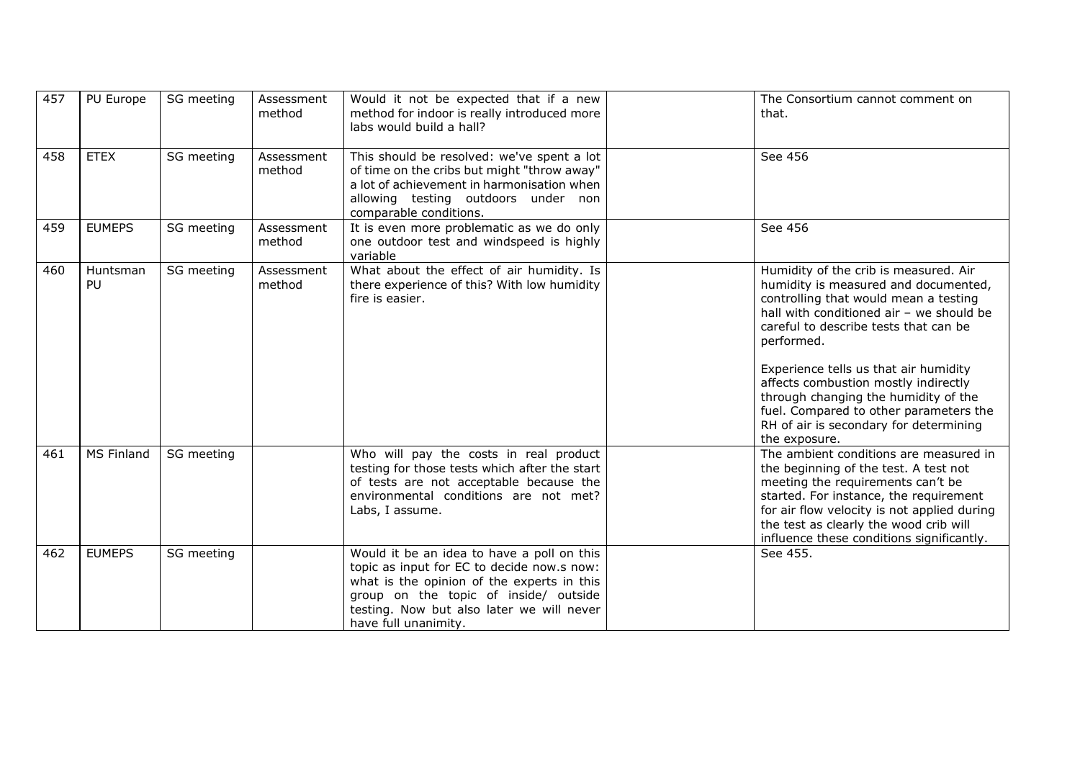| 457 | PU Europe      | SG meeting | Assessment<br>method | Would it not be expected that if a new<br>method for indoor is really introduced more<br>labs would build a hall?                                                                                                                                    | The Consortium cannot comment on<br>that.                                                                                                                                                                                                                                                                                                                                                                                                               |
|-----|----------------|------------|----------------------|------------------------------------------------------------------------------------------------------------------------------------------------------------------------------------------------------------------------------------------------------|---------------------------------------------------------------------------------------------------------------------------------------------------------------------------------------------------------------------------------------------------------------------------------------------------------------------------------------------------------------------------------------------------------------------------------------------------------|
| 458 | <b>ETEX</b>    | SG meeting | Assessment<br>method | This should be resolved: we've spent a lot<br>of time on the cribs but might "throw away"<br>a lot of achievement in harmonisation when<br>allowing testing outdoors under non<br>comparable conditions.                                             | See 456                                                                                                                                                                                                                                                                                                                                                                                                                                                 |
| 459 | <b>EUMEPS</b>  | SG meeting | Assessment<br>method | It is even more problematic as we do only<br>one outdoor test and windspeed is highly<br>variable                                                                                                                                                    | See 456                                                                                                                                                                                                                                                                                                                                                                                                                                                 |
| 460 | Huntsman<br>PU | SG meeting | Assessment<br>method | What about the effect of air humidity. Is<br>there experience of this? With low humidity<br>fire is easier.                                                                                                                                          | Humidity of the crib is measured. Air<br>humidity is measured and documented,<br>controlling that would mean a testing<br>hall with conditioned air - we should be<br>careful to describe tests that can be<br>performed.<br>Experience tells us that air humidity<br>affects combustion mostly indirectly<br>through changing the humidity of the<br>fuel. Compared to other parameters the<br>RH of air is secondary for determining<br>the exposure. |
| 461 | MS Finland     | SG meeting |                      | Who will pay the costs in real product<br>testing for those tests which after the start<br>of tests are not acceptable because the<br>environmental conditions are not met?<br>Labs, I assume.                                                       | The ambient conditions are measured in<br>the beginning of the test. A test not<br>meeting the requirements can't be<br>started. For instance, the requirement<br>for air flow velocity is not applied during<br>the test as clearly the wood crib will<br>influence these conditions significantly.                                                                                                                                                    |
| 462 | <b>EUMEPS</b>  | SG meeting |                      | Would it be an idea to have a poll on this<br>topic as input for EC to decide now.s now:<br>what is the opinion of the experts in this<br>group on the topic of inside/ outside<br>testing. Now but also later we will never<br>have full unanimity. | See 455.                                                                                                                                                                                                                                                                                                                                                                                                                                                |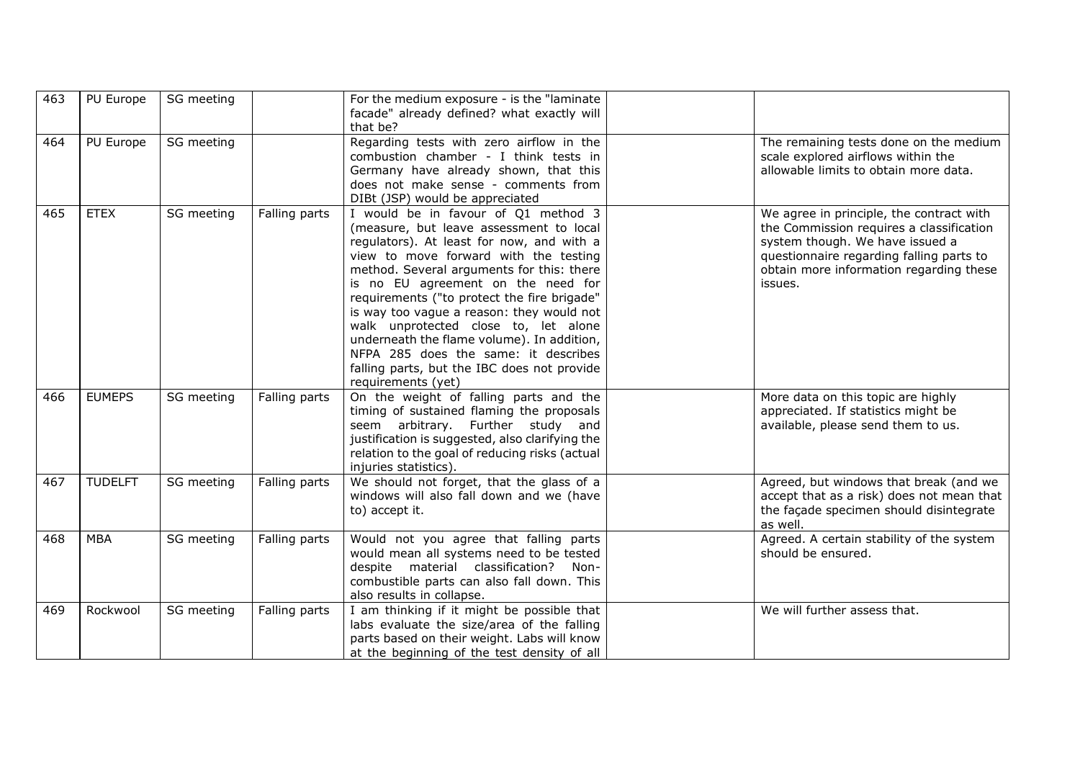| 463 | PU Europe      | SG meeting |               | For the medium exposure - is the "laminate"<br>facade" already defined? what exactly will<br>that be?                                                                                                                                                                                                                                                                                                                                                                                                                                                  |                                                                                                                                                                                                                           |
|-----|----------------|------------|---------------|--------------------------------------------------------------------------------------------------------------------------------------------------------------------------------------------------------------------------------------------------------------------------------------------------------------------------------------------------------------------------------------------------------------------------------------------------------------------------------------------------------------------------------------------------------|---------------------------------------------------------------------------------------------------------------------------------------------------------------------------------------------------------------------------|
| 464 | PU Europe      | SG meeting |               | Regarding tests with zero airflow in the<br>combustion chamber - I think tests in<br>Germany have already shown, that this<br>does not make sense - comments from<br>DIBt (JSP) would be appreciated                                                                                                                                                                                                                                                                                                                                                   | The remaining tests done on the medium<br>scale explored airflows within the<br>allowable limits to obtain more data.                                                                                                     |
| 465 | <b>ETEX</b>    | SG meeting | Falling parts | I would be in favour of Q1 method 3<br>(measure, but leave assessment to local<br>regulators). At least for now, and with a<br>view to move forward with the testing<br>method. Several arguments for this: there<br>is no EU agreement on the need for<br>requirements ("to protect the fire brigade"<br>is way too vague a reason: they would not<br>walk unprotected close to, let alone<br>underneath the flame volume). In addition,<br>NFPA 285 does the same: it describes<br>falling parts, but the IBC does not provide<br>requirements (yet) | We agree in principle, the contract with<br>the Commission requires a classification<br>system though. We have issued a<br>questionnaire regarding falling parts to<br>obtain more information regarding these<br>issues. |
| 466 | <b>EUMEPS</b>  | SG meeting | Falling parts | On the weight of falling parts and the<br>timing of sustained flaming the proposals<br>seem arbitrary. Further study and<br>justification is suggested, also clarifying the<br>relation to the goal of reducing risks (actual<br>injuries statistics).                                                                                                                                                                                                                                                                                                 | More data on this topic are highly<br>appreciated. If statistics might be<br>available, please send them to us.                                                                                                           |
| 467 | <b>TUDELFT</b> | SG meeting | Falling parts | We should not forget, that the glass of a<br>windows will also fall down and we (have<br>to) accept it.                                                                                                                                                                                                                                                                                                                                                                                                                                                | Agreed, but windows that break (and we<br>accept that as a risk) does not mean that<br>the façade specimen should disintegrate<br>as well.                                                                                |
| 468 | <b>MBA</b>     | SG meeting | Falling parts | Would not you agree that falling parts<br>would mean all systems need to be tested<br>despite material classification? Non-<br>combustible parts can also fall down. This<br>also results in collapse.                                                                                                                                                                                                                                                                                                                                                 | Agreed. A certain stability of the system<br>should be ensured.                                                                                                                                                           |
| 469 | Rockwool       | SG meeting | Falling parts | I am thinking if it might be possible that<br>labs evaluate the size/area of the falling<br>parts based on their weight. Labs will know<br>at the beginning of the test density of all                                                                                                                                                                                                                                                                                                                                                                 | We will further assess that.                                                                                                                                                                                              |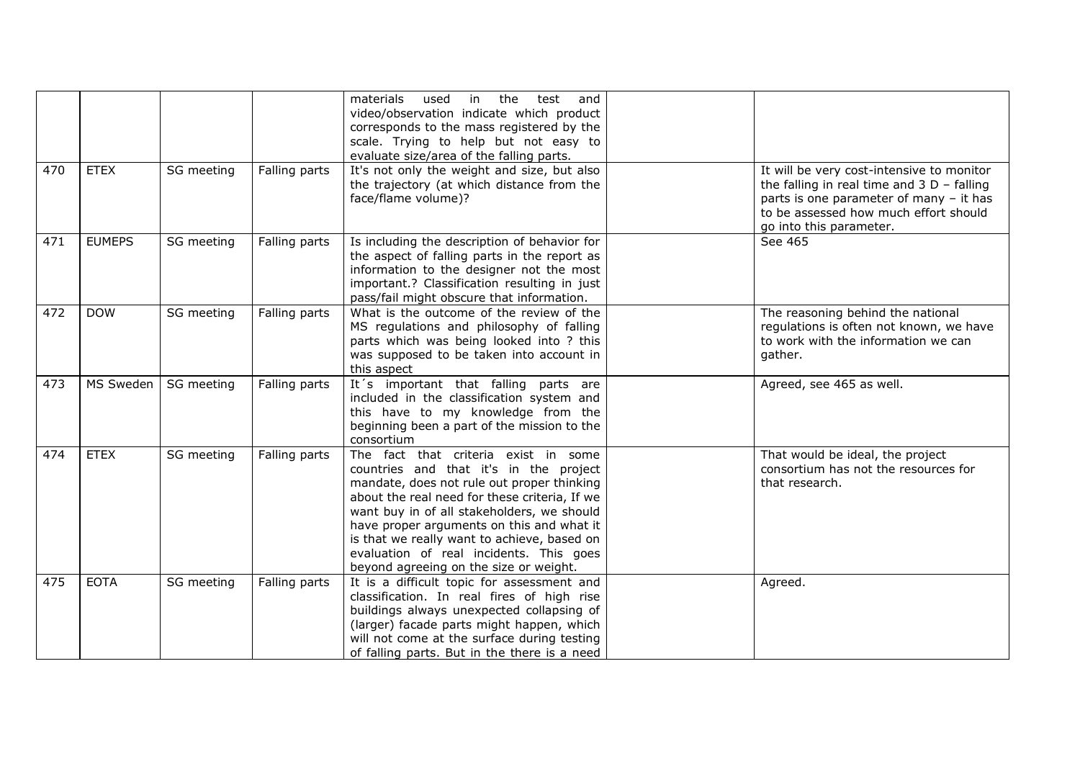|     |               |            |               | the<br>test<br>materials<br>used<br>in<br>and<br>video/observation indicate which product<br>corresponds to the mass registered by the<br>scale. Trying to help but not easy to<br>evaluate size/area of the falling parts.                                                                                                                                                                                  |                                                                                                                                                                                                         |
|-----|---------------|------------|---------------|--------------------------------------------------------------------------------------------------------------------------------------------------------------------------------------------------------------------------------------------------------------------------------------------------------------------------------------------------------------------------------------------------------------|---------------------------------------------------------------------------------------------------------------------------------------------------------------------------------------------------------|
| 470 | <b>ETEX</b>   | SG meeting | Falling parts | It's not only the weight and size, but also<br>the trajectory (at which distance from the<br>face/flame volume)?                                                                                                                                                                                                                                                                                             | It will be very cost-intensive to monitor<br>the falling in real time and $3D -$ falling<br>parts is one parameter of many - it has<br>to be assessed how much effort should<br>go into this parameter. |
| 471 | <b>EUMEPS</b> | SG meeting | Falling parts | Is including the description of behavior for<br>the aspect of falling parts in the report as<br>information to the designer not the most<br>important.? Classification resulting in just<br>pass/fail might obscure that information.                                                                                                                                                                        | See 465                                                                                                                                                                                                 |
| 472 | <b>DOW</b>    | SG meeting | Falling parts | What is the outcome of the review of the<br>MS regulations and philosophy of falling<br>parts which was being looked into ? this<br>was supposed to be taken into account in<br>this aspect                                                                                                                                                                                                                  | The reasoning behind the national<br>regulations is often not known, we have<br>to work with the information we can<br>gather.                                                                          |
| 473 | MS Sweden     | SG meeting | Falling parts | It's important that falling parts are<br>included in the classification system and<br>this have to my knowledge from the<br>beginning been a part of the mission to the<br>consortium                                                                                                                                                                                                                        | Agreed, see 465 as well.                                                                                                                                                                                |
| 474 | <b>ETEX</b>   | SG meeting | Falling parts | The fact that criteria exist in some<br>countries and that it's in the project<br>mandate, does not rule out proper thinking<br>about the real need for these criteria, If we<br>want buy in of all stakeholders, we should<br>have proper arguments on this and what it<br>is that we really want to achieve, based on<br>evaluation of real incidents. This goes<br>beyond agreeing on the size or weight. | That would be ideal, the project<br>consortium has not the resources for<br>that research.                                                                                                              |
| 475 | <b>EOTA</b>   | SG meeting | Falling parts | It is a difficult topic for assessment and<br>classification. In real fires of high rise<br>buildings always unexpected collapsing of<br>(larger) facade parts might happen, which<br>will not come at the surface during testing<br>of falling parts. But in the there is a need                                                                                                                            | Agreed.                                                                                                                                                                                                 |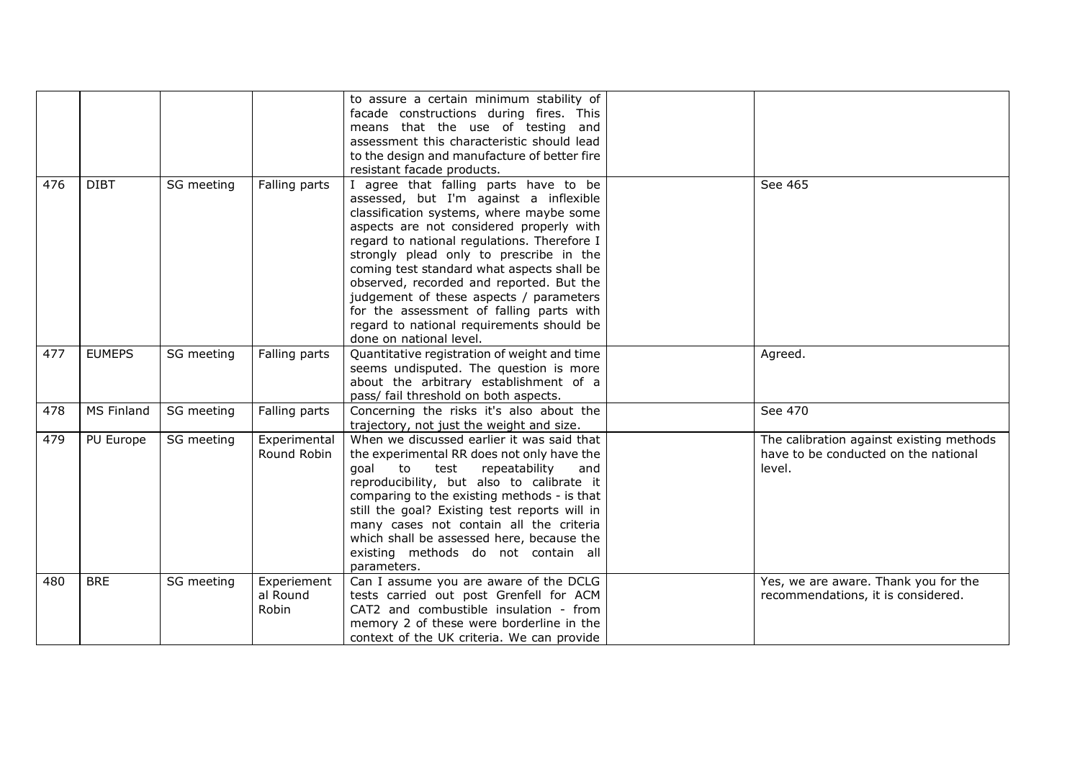|     |               |            |                                  | to assure a certain minimum stability of<br>facade constructions during fires. This<br>means that the use of testing and<br>assessment this characteristic should lead<br>to the design and manufacture of better fire<br>resistant facade products.                                                                                                                                                                                                                                                                       |                                                                                            |
|-----|---------------|------------|----------------------------------|----------------------------------------------------------------------------------------------------------------------------------------------------------------------------------------------------------------------------------------------------------------------------------------------------------------------------------------------------------------------------------------------------------------------------------------------------------------------------------------------------------------------------|--------------------------------------------------------------------------------------------|
| 476 | <b>DIBT</b>   | SG meeting | Falling parts                    | I agree that falling parts have to be<br>assessed, but I'm against a inflexible<br>classification systems, where maybe some<br>aspects are not considered properly with<br>regard to national regulations. Therefore I<br>strongly plead only to prescribe in the<br>coming test standard what aspects shall be<br>observed, recorded and reported. But the<br>judgement of these aspects / parameters<br>for the assessment of falling parts with<br>regard to national requirements should be<br>done on national level. | See 465                                                                                    |
| 477 | <b>EUMEPS</b> | SG meeting | Falling parts                    | Quantitative registration of weight and time<br>seems undisputed. The question is more<br>about the arbitrary establishment of a<br>pass/ fail threshold on both aspects.                                                                                                                                                                                                                                                                                                                                                  | Agreed.                                                                                    |
| 478 | MS Finland    | SG meeting | Falling parts                    | Concerning the risks it's also about the<br>trajectory, not just the weight and size.                                                                                                                                                                                                                                                                                                                                                                                                                                      | See 470                                                                                    |
| 479 | PU Europe     | SG meeting | Experimental<br>Round Robin      | When we discussed earlier it was said that<br>the experimental RR does not only have the<br>qoal<br>to<br>test<br>repeatability<br>and<br>reproducibility, but also to calibrate it<br>comparing to the existing methods - is that<br>still the goal? Existing test reports will in<br>many cases not contain all the criteria<br>which shall be assessed here, because the<br>existing methods do not contain all<br>parameters.                                                                                          | The calibration against existing methods<br>have to be conducted on the national<br>level. |
| 480 | <b>BRE</b>    | SG meeting | Experiement<br>al Round<br>Robin | Can I assume you are aware of the DCLG<br>tests carried out post Grenfell for ACM<br>CAT2 and combustible insulation - from<br>memory 2 of these were borderline in the<br>context of the UK criteria. We can provide                                                                                                                                                                                                                                                                                                      | Yes, we are aware. Thank you for the<br>recommendations, it is considered.                 |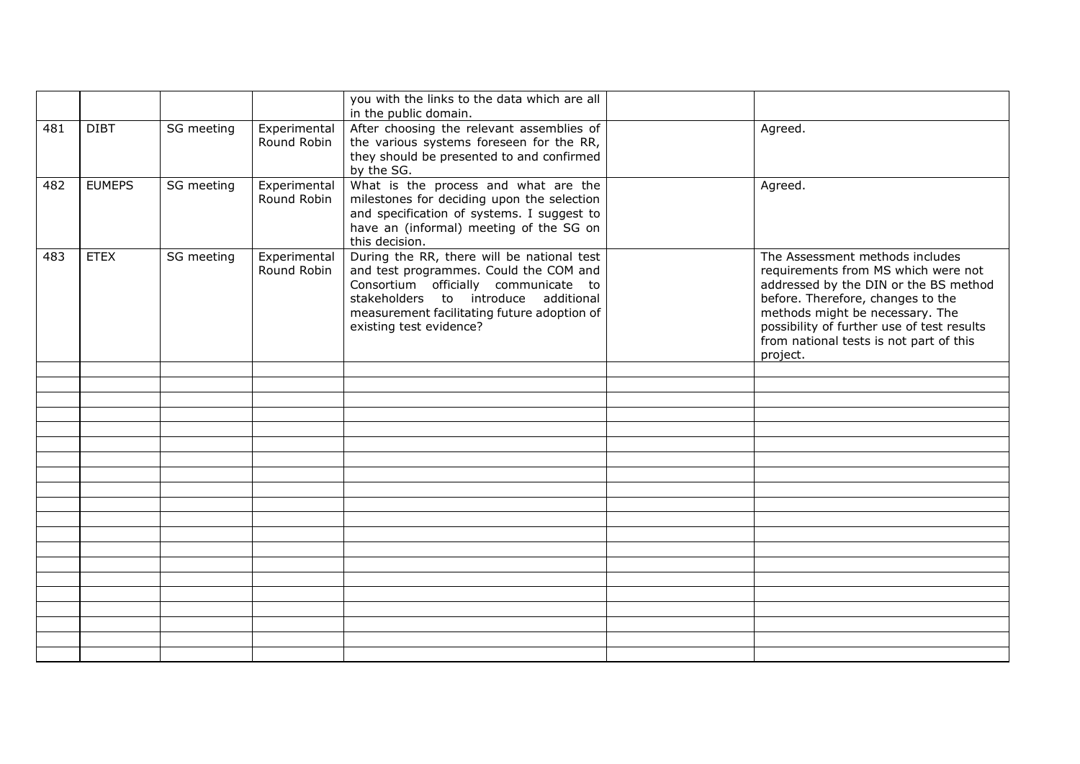|     |               |            |                             | you with the links to the data which are all<br>in the public domain.                                                                                                                                                                          |                                                                                                                                                                                                                                                                                              |
|-----|---------------|------------|-----------------------------|------------------------------------------------------------------------------------------------------------------------------------------------------------------------------------------------------------------------------------------------|----------------------------------------------------------------------------------------------------------------------------------------------------------------------------------------------------------------------------------------------------------------------------------------------|
| 481 | <b>DIBT</b>   | SG meeting | Experimental<br>Round Robin | After choosing the relevant assemblies of<br>the various systems foreseen for the RR,<br>they should be presented to and confirmed<br>by the SG.                                                                                               | Agreed.                                                                                                                                                                                                                                                                                      |
| 482 | <b>EUMEPS</b> | SG meeting | Experimental<br>Round Robin | What is the process and what are the<br>milestones for deciding upon the selection<br>and specification of systems. I suggest to<br>have an (informal) meeting of the SG on<br>this decision.                                                  | Agreed.                                                                                                                                                                                                                                                                                      |
| 483 | <b>ETEX</b>   | SG meeting | Experimental<br>Round Robin | During the RR, there will be national test<br>and test programmes. Could the COM and<br>Consortium officially communicate to<br>stakeholders to introduce additional<br>measurement facilitating future adoption of<br>existing test evidence? | The Assessment methods includes<br>requirements from MS which were not<br>addressed by the DIN or the BS method<br>before. Therefore, changes to the<br>methods might be necessary. The<br>possibility of further use of test results<br>from national tests is not part of this<br>project. |
|     |               |            |                             |                                                                                                                                                                                                                                                |                                                                                                                                                                                                                                                                                              |
|     |               |            |                             |                                                                                                                                                                                                                                                |                                                                                                                                                                                                                                                                                              |
|     |               |            |                             |                                                                                                                                                                                                                                                |                                                                                                                                                                                                                                                                                              |
|     |               |            |                             |                                                                                                                                                                                                                                                |                                                                                                                                                                                                                                                                                              |
|     |               |            |                             |                                                                                                                                                                                                                                                |                                                                                                                                                                                                                                                                                              |
|     |               |            |                             |                                                                                                                                                                                                                                                |                                                                                                                                                                                                                                                                                              |
|     |               |            |                             |                                                                                                                                                                                                                                                |                                                                                                                                                                                                                                                                                              |
|     |               |            |                             |                                                                                                                                                                                                                                                |                                                                                                                                                                                                                                                                                              |
|     |               |            |                             |                                                                                                                                                                                                                                                |                                                                                                                                                                                                                                                                                              |
|     |               |            |                             |                                                                                                                                                                                                                                                |                                                                                                                                                                                                                                                                                              |
|     |               |            |                             |                                                                                                                                                                                                                                                |                                                                                                                                                                                                                                                                                              |
|     |               |            |                             |                                                                                                                                                                                                                                                |                                                                                                                                                                                                                                                                                              |
|     |               |            |                             |                                                                                                                                                                                                                                                |                                                                                                                                                                                                                                                                                              |
|     |               |            |                             |                                                                                                                                                                                                                                                |                                                                                                                                                                                                                                                                                              |
|     |               |            |                             |                                                                                                                                                                                                                                                |                                                                                                                                                                                                                                                                                              |
|     |               |            |                             |                                                                                                                                                                                                                                                |                                                                                                                                                                                                                                                                                              |
|     |               |            |                             |                                                                                                                                                                                                                                                |                                                                                                                                                                                                                                                                                              |
|     |               |            |                             |                                                                                                                                                                                                                                                |                                                                                                                                                                                                                                                                                              |
|     |               |            |                             |                                                                                                                                                                                                                                                |                                                                                                                                                                                                                                                                                              |